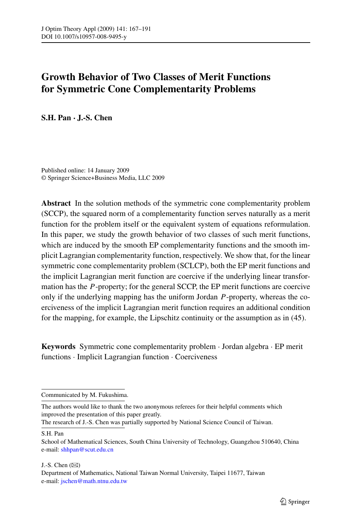# **Growth Behavior of Two Classes of Merit Functions for Symmetric Cone Complementarity Problems**

**S.H. Pan · J.-S. Chen**

Published online: 14 January 2009 © Springer Science+Business Media, LLC 2009

**Abstract** In the solution methods of the symmetric cone complementarity problem (SCCP), the squared norm of a complementarity function serves naturally as a merit function for the problem itself or the equivalent system of equations reformulation. In this paper, we study the growth behavior of two classes of such merit functions, which are induced by the smooth EP complementarity functions and the smooth implicit Lagrangian complementarity function, respectively. We show that, for the linear symmetric cone complementarity problem (SCLCP), both the EP merit functions and the implicit Lagrangian merit function are coercive if the underlying linear transformation has the *P*-property; for the general SCCP, the EP merit functions are coercive only if the underlying mapping has the uniform Jordan *P*-property, whereas the coerciveness of the implicit Lagrangian merit function requires an additional condition for the mapping, for example, the Lipschitz continuity or the assumption as in (45).

**Keywords** Symmetric cone complementarity problem · Jordan algebra · EP merit functions · Implicit Lagrangian function · Coerciveness

The research of J.-S. Chen was partially supported by National Science Council of Taiwan.

S.H. Pan

J.-S. Chen  $(\boxtimes)$ 

Communicated by M. Fukushima.

The authors would like to thank the two anonymous referees for their helpful comments which improved the presentation of this paper greatly.

School of Mathematical Sciences, South China University of Technology, Guangzhou 510640, China e-mail: [shhpan@scut.edu.cn](mailto:shhpan@scut.edu.cn)

Department of Mathematics, National Taiwan Normal University, Taipei 11677, Taiwan e-mail: [jschen@math.ntnu.edu.tw](mailto:jschen@math.ntnu.edu.tw)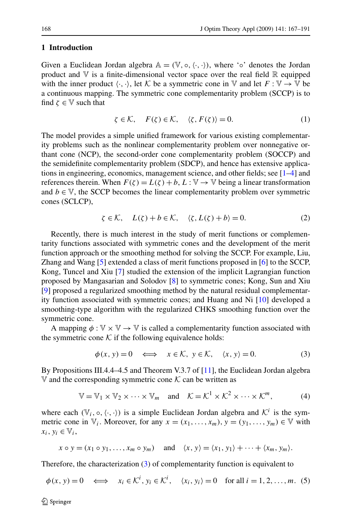#### <span id="page-1-0"></span>**1 Introduction**

Given a Euclidean Jordan algebra  $\mathbb{A} = (\mathbb{V}, \circ, \langle \cdot, \cdot \rangle)$ , where ' $\circ$ ' denotes the Jordan product and  $\nabla$  is a finite-dimensional vector space over the real field  $\mathbb R$  equipped with the inner product  $\langle \cdot, \cdot \rangle$ , let K be a symmetric cone in V and let  $F : \mathbb{V} \to \mathbb{V}$  be a continuous mapping. The symmetric cone complementarity problem (SCCP) is to find  $\zeta \in \mathbb{V}$  such that

$$
\zeta \in \mathcal{K}, \quad F(\zeta) \in \mathcal{K}, \quad \langle \zeta, F(\zeta) \rangle = 0. \tag{1}
$$

The model provides a simple unified framework for various existing complementarity problems such as the nonlinear complementarity problem over nonnegative orthant cone (NCP), the second-order cone complementarity problem (SOCCP) and the semidefinite complementarity problem (SDCP), and hence has extensive applications in engineering, economics, management science, and other fields; see [[1–4\]](#page-23-0) and references therein. When  $F(\zeta) = L(\zeta) + b$ ,  $L : \mathbb{V} \to \mathbb{V}$  being a linear transformation and  $b \in V$ , the SCCP becomes the linear complementarity problem over symmetric cones (SCLCP),

$$
\zeta \in \mathcal{K}, \quad L(\zeta) + b \in \mathcal{K}, \quad \langle \zeta, L(\zeta) + b \rangle = 0. \tag{2}
$$

Recently, there is much interest in the study of merit functions or complementarity functions associated with symmetric cones and the development of the merit function approach or the smoothing method for solving the SCCP. For example, Liu, Zhang and Wang [[5\]](#page-24-0) extended a class of merit functions proposed in [[6\]](#page-24-0) to the SCCP, Kong, Tuncel and Xiu [[7\]](#page-24-0) studied the extension of the implicit Lagrangian function proposed by Mangasarian and Solodov [\[8](#page-24-0)] to symmetric cones; Kong, Sun and Xiu [\[9](#page-24-0)] proposed a regularized smoothing method by the natural residual complementarity function associated with symmetric cones; and Huang and Ni [[10\]](#page-24-0) developed a smoothing-type algorithm with the regularized CHKS smoothing function over the symmetric cone.

A mapping  $\phi : \mathbb{V} \times \mathbb{V} \to \mathbb{V}$  is called a complementarity function associated with the symmetric cone  $K$  if the following equivalence holds:

$$
\phi(x, y) = 0 \iff x \in \mathcal{K}, y \in \mathcal{K}, \langle x, y \rangle = 0. \tag{3}
$$

By Propositions III.4.4–4.5 and Theorem V.3.7 of [\[11](#page-24-0)], the Euclidean Jordan algebra V and the corresponding symmetric cone  $K$  can be written as

$$
\mathbb{V} = \mathbb{V}_1 \times \mathbb{V}_2 \times \cdots \times \mathbb{V}_m \quad \text{and} \quad \mathcal{K} = \mathcal{K}^1 \times \mathcal{K}^2 \times \cdots \times \mathcal{K}^m, \tag{4}
$$

where each  $(\mathbb{V}_i, \circ, \langle \cdot, \cdot \rangle)$  is a simple Euclidean Jordan algebra and  $\mathcal{K}^i$  is the symmetric cone in  $\mathbb{V}_i$ . Moreover, for any  $x = (x_1, \ldots, x_m)$ ,  $y = (y_1, \ldots, y_m) \in \mathbb{V}$  with  $x_i, y_i \in V_i$ 

$$
x \circ y = (x_1 \circ y_1, \dots, x_m \circ y_m)
$$
 and  $\langle x, y \rangle = \langle x_1, y_1 \rangle + \dots + \langle x_m, y_m \rangle$ .

Therefore, the characterization (3) of complementarity function is equivalent to

$$
\phi(x, y) = 0 \iff x_i \in \mathcal{K}^i, y_i \in \mathcal{K}^i, \quad \langle x_i, y_i \rangle = 0 \text{ for all } i = 1, 2, \dots, m. \tag{5}
$$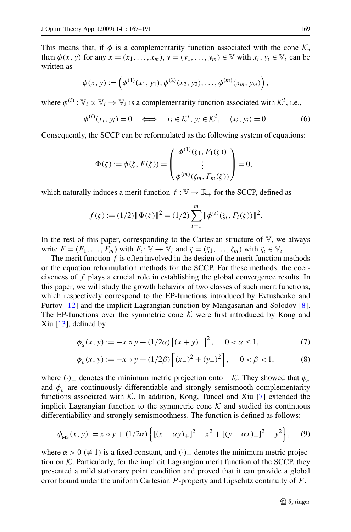<span id="page-2-0"></span>This means that, if  $\phi$  is a complementarity function associated with the cone K, then  $\phi(x, y)$  for any  $x = (x_1, \ldots, x_m)$ ,  $y = (y_1, \ldots, y_m) \in \mathbb{V}$  with  $x_i, y_i \in \mathbb{V}_i$  can be written as

$$
\phi(x, y) := \left(\phi^{(1)}(x_1, y_1), \phi^{(2)}(x_2, y_2), \dots, \phi^{(m)}(x_m, y_m)\right),
$$

where  $\phi^{(i)} : \mathbb{V}_i \times \mathbb{V}_i \to \mathbb{V}_i$  is a complementarity function associated with  $\mathcal{K}^i$ , i.e.,

$$
\phi^{(i)}(x_i, y_i) = 0 \iff x_i \in \mathcal{K}^i, y_i \in \mathcal{K}^i, \quad \langle x_i, y_i \rangle = 0. \tag{6}
$$

Consequently, the SCCP can be reformulated as the following system of equations:

$$
\Phi(\zeta) := \phi(\zeta, F(\zeta)) = \begin{pmatrix} \phi^{(1)}(\zeta_1, F_1(\zeta)) \\ \vdots \\ \phi^{(m)}(\zeta_m, F_m(\zeta)) \end{pmatrix} = 0,
$$

which naturally induces a merit function  $f : \mathbb{V} \to \mathbb{R}_+$  for the SCCP, defined as

$$
f(\zeta) := (1/2) \|\Phi(\zeta)\|^2 = (1/2) \sum_{i=1}^m \|\phi^{(i)}(\zeta_i, F_i(\zeta))\|^2.
$$

In the rest of this paper, corresponding to the Cartesian structure of  $V$ , we always write  $F = (F_1, \ldots, F_m)$  with  $F_i: \mathbb{V} \to \mathbb{V}_i$  and  $\zeta = (\zeta_1, \ldots, \zeta_m)$  with  $\zeta_i \in \mathbb{V}_i$ .

The merit function  $f$  is often involved in the design of the merit function methods or the equation reformulation methods for the SCCP. For these methods, the coerciveness of *f* plays a crucial role in establishing the global convergence results. In this paper, we will study the growth behavior of two classes of such merit functions, which respectively correspond to the EP-functions introduced by Evtushenko and Purtov [[12\]](#page-24-0) and the implicit Lagrangian function by Mangasarian and Solodov [[8\]](#page-24-0). The EP-functions over the symmetric cone  $K$  were first introduced by Kong and Xiu [[13\]](#page-24-0), defined by

$$
\phi_{\alpha}(x, y) := -x \circ y + (1/2\alpha) \left[ (x + y)_{-} \right]^{2}, \quad 0 < \alpha \le 1,
$$
\n(7)

$$
\phi_{\beta}(x, y) := -x \circ y + (1/2\beta) \left[ (x_{-})^{2} + (y_{-})^{2} \right], \quad 0 < \beta < 1,\tag{8}
$$

where  $(\cdot)$ <sub>−</sub> denotes the minimum metric projection onto  $-\mathcal{K}$ . They showed that  $\phi_{\alpha}$ and  $\phi$ <sup>*β*</sup> are continuously differentiable and strongly semismooth complementarity functions associated with  $K$ . In addition, Kong, Tuncel and Xiu [\[7](#page-24-0)] extended the implicit Lagrangian function to the symmetric cone  $K$  and studied its continuous differentiability and strongly semismoothness. The function is defined as follows:

$$
\phi_{\text{MS}}(x, y) := x \circ y + (1/2\alpha) \left\{ \left[ (x - \alpha y)_+ \right]^2 - x^2 + \left[ (y - \alpha x)_+ \right]^2 - y^2 \right\},\tag{9}
$$

where  $\alpha > 0 \ (\neq 1)$  is a fixed constant, and  $(\cdot)$  denotes the minimum metric projection on  $K$ . Particularly, for the implicit Lagrangian merit function of the SCCP, they presented a mild stationary point condition and proved that it can provide a global error bound under the uniform Cartesian *P* -property and Lipschitz continuity of *F*.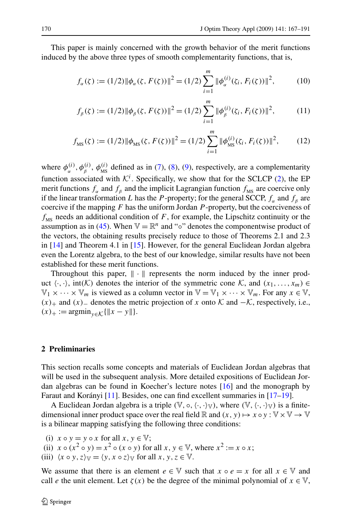<span id="page-3-0"></span>This paper is mainly concerned with the growth behavior of the merit functions induced by the above three types of smooth complementarity functions, that is,

$$
f_{\alpha}(\zeta) := (1/2) \|\phi_{\alpha}(\zeta, F(\zeta))\|^{2} = (1/2) \sum_{i=1}^{m} \|\phi_{\alpha}^{(i)}(\zeta_{i}, F_{i}(\zeta))\|^{2},
$$
 (10)

$$
f_{\beta}(\zeta) := (1/2) \|\phi_{\beta}(\zeta, F(\zeta))\|^{2} = (1/2) \sum_{i=1}^{m} \|\phi_{\beta}^{(i)}(\zeta_{i}, F_{i}(\zeta))\|^{2},
$$
 (11)

$$
f_{\rm MS}(\zeta) := (1/2) \|\phi_{\rm MS}(\zeta, F(\zeta))\|^2 = (1/2) \sum_{i=1}^m \|\phi_{\rm MS}^{(i)}(\zeta_i, F_i(\zeta))\|^2, \tag{12}
$$

where  $\phi_{\alpha}^{(i)}$ ,  $\phi_{\beta}^{(i)}$ ,  $\phi_{MS}^{(i)}$  defined as in ([7\)](#page-2-0), [\(8](#page-2-0)), [\(9](#page-2-0)), respectively, are a complementarity function associated with  $K^i$ . Specifically, we show that for the SCLCP  $(2)$  $(2)$ , the EP merit functions  $f_\alpha$  and  $f_\beta$  and the implicit Lagrangian function  $f_{\text{MS}}$  are coercive only if the linear transformation *L* has the *P*-property; for the general SCCP,  $f_a$  and  $f_b$  are coercive if the mapping *F* has the uniform Jordan *P* -property, but the coerciveness of  $f_{MS}$  needs an additional condition of *F*, for example, the Lipschitz continuity or the assumption as in ([45\)](#page-20-0). When  $\mathbb{V} = \mathbb{R}^n$  and "∘" denotes the componentwise product of the vectors, the obtaining results precisely reduce to those of Theorems 2.1 and 2.3 in [[14\]](#page-24-0) and Theorem 4.1 in [[15\]](#page-24-0). However, for the general Euclidean Jordan algebra even the Lorentz algebra, to the best of our knowledge, similar results have not been established for these merit functions.

Throughout this paper,  $\|\cdot\|$  represents the norm induced by the inner product  $\langle \cdot, \cdot \rangle$ , int $(K)$  denotes the interior of the symmetric cone K, and  $(x_1, \ldots, x_m) \in$  $\mathbb{V}_1 \times \cdots \times \mathbb{V}_m$  is viewed as a column vector in  $\mathbb{V} = \mathbb{V}_1 \times \cdots \times \mathbb{V}_m$ . For any  $x \in \mathbb{V}$ ,  $(x)$ <sub>+</sub> and  $(x)$ <sub>−</sub> denotes the metric projection of *x* onto  $K$  and  $-K$ , respectively, i.e.,  $(x)_{+} := \operatorname{argmin}_{y \in K} {\{\|x - y\|\}}.$ 

## **2 Preliminaries**

This section recalls some concepts and materials of Euclidean Jordan algebras that will be used in the subsequent analysis. More detailed expositions of Euclidean Jordan algebras can be found in Koecher's lecture notes [[16](#page-24-0)] and the monograph by Faraut and Korányi [\[11](#page-24-0)]. Besides, one can find excellent summaries in [\[17–19](#page-24-0)].

A Euclidean Jordan algebra is a triple  $(\mathbb{V}, \circ, \langle \cdot, \cdot \rangle \mathbb{V})$ , where  $(\mathbb{V}, \langle \cdot, \cdot \rangle \mathbb{V})$  is a finitedimensional inner product space over the real field  $\mathbb R$  and  $(x, y) \mapsto x \circ y : \mathbb V \times \mathbb V \to \mathbb V$ is a bilinear mapping satisfying the following three conditions:

- (i)  $x \circ y = y \circ x$  for all  $x, y \in \mathbb{V}$ ;
- (ii)  $x \circ (x^2 \circ y) = x^2 \circ (x \circ y)$  for all  $x, y \in V$ , where  $x^2 := x \circ x$ ;
- (iii)  $\langle x \circ y, z \rangle_{\mathbb{V}} = \langle y, x \circ z \rangle_{\mathbb{V}}$  for all  $x, y, z \in \mathbb{V}$ .

We assume that there is an element  $e \in V$  such that  $x \circ e = x$  for all  $x \in V$  and call *e* the unit element. Let  $\zeta(x)$  be the degree of the minimal polynomial of  $x \in \mathbb{V}$ ,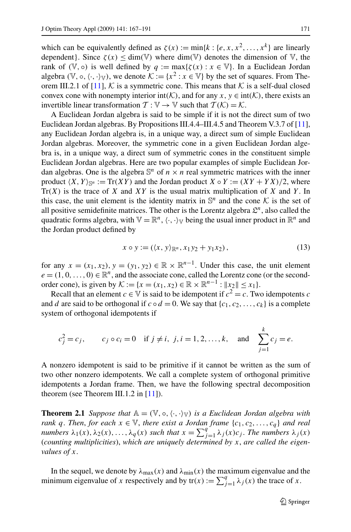which can be equivalently defined as  $\zeta(x) := \min\{k : \{e, x, x^2, \dots, x^k\}$  are linearly dependent}. Since  $\zeta(x) \le \dim(\mathbb{V})$  where  $\dim(\mathbb{V})$  denotes the dimension of  $\mathbb{V}$ , the rank of  $(\mathbb{V}, \circ)$  is well defined by  $q := \max{\{\zeta(x) : x \in \mathbb{V}\}\}$ . In a Euclidean Jordan algebra  $(\mathbb{V}, \circ, \langle \cdot, \cdot \rangle_{\mathbb{V}})$ , we denote  $\mathcal{K} := \{x^2 : x \in \mathbb{V}\}\$  by the set of squares. From The-orem III.2.1 of [\[11](#page-24-0)], K is a symmetric cone. This means that K is a self-dual closed convex cone with nonempty interior int $(K)$ , and for any  $x, y \in \text{int}(K)$ , there exists an invertible linear transformation  $\mathcal{T} : \mathbb{V} \to \mathbb{V}$  such that  $\mathcal{T}(\mathcal{K}) = \mathcal{K}$ .

A Euclidean Jordan algebra is said to be simple if it is not the direct sum of two Euclidean Jordan algebras. By Propositions III.4.4–III.4.5 and Theorem V.3.7 of [[11\]](#page-24-0), any Euclidean Jordan algebra is, in a unique way, a direct sum of simple Euclidean Jordan algebras. Moreover, the symmetric cone in a given Euclidean Jordan algebra is, in a unique way, a direct sum of symmetric cones in the constituent simple Euclidean Jordan algebras. Here are two popular examples of simple Euclidean Jordan algebras. One is the algebra  $\mathbb{S}^n$  of  $n \times n$  real symmetric matrices with the inner product  $\langle X, Y \rangle_{\mathbb{S}^n} := \text{Tr}(XY)$  and the Jordan product  $X \circ Y := (XY + YX)/2$ , where Tr*(X)* is the trace of *X* and *XY* is the usual matrix multiplication of *X* and *Y* . In this case, the unit element is the identity matrix in  $\mathbb{S}^n$  and the cone K is the set of all positive semidefinite matrices. The other is the Lorentz algebra  $\mathcal{L}^n$ , also called the quadratic forms algebra, with  $V = \mathbb{R}^n$ ,  $\langle \cdot, \cdot \rangle_V$  being the usual inner product in  $\mathbb{R}^n$  and the Jordan product defined by

$$
x \circ y := (\langle x, y \rangle_{\mathbb{R}^n}, x_1 y_2 + y_1 x_2), \tag{13}
$$

for any  $x = (x_1, x_2), y = (y_1, y_2) \in \mathbb{R} \times \mathbb{R}^{n-1}$ . Under this case, the unit element  $e = (1, 0, \ldots, 0) \in \mathbb{R}^n$ , and the associate cone, called the Lorentz cone (or the secondorder cone), is given by  $K := \{x = (x_1, x_2) \in \mathbb{R} \times \mathbb{R}^{n-1} : ||x_2|| \le x_1\}.$ 

Recall that an element *c*  $\in$  V is said to be idempotent if  $c^2 = c$ . Two idempotents *c* and *d* are said to be orthogonal if  $c \circ d = 0$ . We say that  $\{c_1, c_2, \ldots, c_k\}$  is a complete system of orthogonal idempotents if

$$
c_j^2 = c_j
$$
,  $c_j \circ c_i = 0$  if  $j \neq i$ ,  $j, i = 1, 2, ..., k$ , and  $\sum_{j=1}^k c_j = e$ .

A nonzero idempotent is said to be primitive if it cannot be written as the sum of two other nonzero idempotents. We call a complete system of orthogonal primitive idempotents a Jordan frame. Then, we have the following spectral decomposition theorem (see Theorem III.1.2 in [[11\]](#page-24-0)).

**Theorem 2.1** *Suppose that*  $A = (\mathbb{V}, \circ, \langle \cdot, \cdot \rangle_{\mathbb{V}})$  *is a Euclidean Jordan algebra with rank q*. *Then, for each*  $x \in V$ *, there exist a Jordan frame*  $\{c_1, c_2, \ldots, c_q\}$  *and real numbers*  $\lambda_1(x), \lambda_2(x), \ldots, \lambda_q(x)$  *such that*  $x = \sum_{j=1}^q \lambda_j(x) c_j$ . The numbers  $\lambda_j(x)$ (*counting multiplicities*), *which are uniquely determined by x*, *are called the eigenvalues of x*.

In the sequel, we denote by  $\lambda_{\text{max}}(x)$  and  $\lambda_{\text{min}}(x)$  the maximum eigenvalue and the minimum eigenvalue of *x* respectively and by  $tr(x) := \sum_{j=1}^{q} \lambda_j(x)$  the trace of *x*.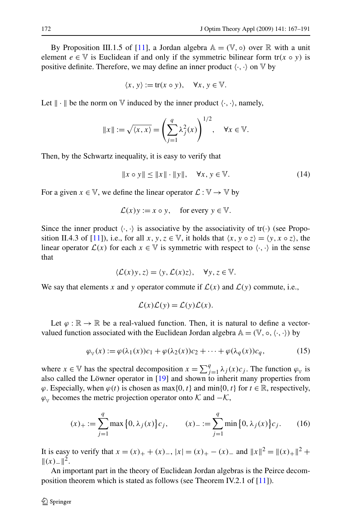<span id="page-5-0"></span>By Proposition III.1.5 of [\[11](#page-24-0)], a Jordan algebra  $\mathbb{A} = (\mathbb{V}, \circ)$  over  $\mathbb{R}$  with a unit element  $e \in V$  is Euclidean if and only if the symmetric bilinear form  $tr(x \circ y)$  is positive definite. Therefore, we may define an inner product  $\langle \cdot, \cdot \rangle$  on  $V$  by

$$
\langle x, y \rangle := \text{tr}(x \circ y), \quad \forall x, y \in \mathbb{V}.
$$

Let  $\|\cdot\|$  be the norm on  $\nabla$  induced by the inner product  $\langle \cdot, \cdot \rangle$ , namely,

$$
||x|| := \sqrt{\langle x, x \rangle} = \left(\sum_{j=1}^{q} \lambda_j^2(x)\right)^{1/2}, \quad \forall x \in \mathbb{V}.
$$

Then, by the Schwartz inequality, it is easy to verify that

$$
||x \circ y|| \le ||x|| \cdot ||y||, \quad \forall x, y \in \mathbb{V}.
$$
 (14)

For a given  $x \in V$ , we define the linear operator  $\mathcal{L} : V \to V$  by

$$
\mathcal{L}(x)y := x \circ y
$$
, for every  $y \in \mathbb{V}$ .

Since the inner product  $\langle \cdot, \cdot \rangle$  is associative by the associativity of tr $(\cdot)$  (see Propo-sition II.4.3 of [\[11](#page-24-0)]), i.e., for all *x*,  $y, z \in V$ , it holds that  $\langle x, y \circ z \rangle = \langle y, x \circ z \rangle$ , the linear operator  $\mathcal{L}(x)$  for each  $x \in V$  is symmetric with respect to  $\langle \cdot, \cdot \rangle$  in the sense that

$$
\langle \mathcal{L}(x)y, z \rangle = \langle y, \mathcal{L}(x)z \rangle, \quad \forall y, z \in \mathbb{V}.
$$

We say that elements x and y operator commute if  $\mathcal{L}(x)$  and  $\mathcal{L}(y)$  commute, i.e.,

$$
\mathcal{L}(x)\mathcal{L}(y) = \mathcal{L}(y)\mathcal{L}(x).
$$

Let  $\varphi : \mathbb{R} \to \mathbb{R}$  be a real-valued function. Then, it is natural to define a vectorvalued function associated with the Euclidean Jordan algebra  $\mathbb{A} = (\mathbb{V}, \circ, \langle \cdot, \cdot \rangle)$  by

$$
\varphi_{\mathbb{V}}(x) := \varphi(\lambda_1(x))c_1 + \varphi(\lambda_2(x))c_2 + \dots + \varphi(\lambda_q(x))c_q, \tag{15}
$$

where  $x \in \mathbb{V}$  has the spectral decomposition  $x = \sum_{j=1}^{q} \lambda_j(x) c_j$ . The function  $\varphi_{\mathbb{V}}$  is also called the Löwner operator in [\[19\]](#page-24-0) and shown to inherit many properties from  $\varphi$ . Especially, when  $\varphi(t)$  is chosen as max{0*,t*} and min{0*,t*} for  $t \in \mathbb{R}$ , respectively,  $\varphi$ <sub>V</sub> becomes the metric projection operator onto K and  $-\mathcal{K}$ ,

$$
(x)_{+} := \sum_{j=1}^{q} \max\left\{0, \lambda_{j}(x)\right\} c_{j}, \qquad (x)_{-} := \sum_{j=1}^{q} \min\left\{0, \lambda_{j}(x)\right\} c_{j}.
$$
 (16)

It is easy to verify that  $x = (x)_+ + (x)_-, |x| = (x)_+ - (x)_-$  and  $||x||^2 = ||(x)_+||^2 +$  $||(x)−||^2$ .

An important part in the theory of Euclidean Jordan algebras is the Peirce decomposition theorem which is stated as follows (see Theorem IV.2.1 of [[11\]](#page-24-0)).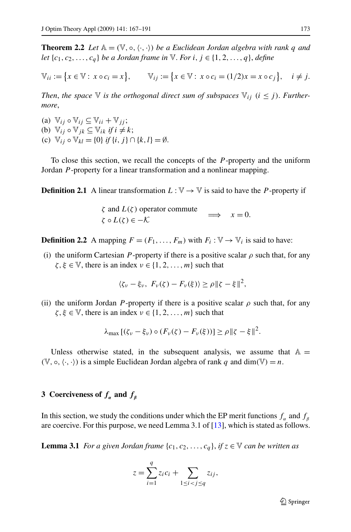<span id="page-6-0"></span>**Theorem 2.2** Let  $\mathbb{A} = (\mathbb{V}, \circ, \langle \cdot, \cdot \rangle)$  be a Euclidean Jordan algebra with rank q and *let*  $\{c_1, c_2, \ldots, c_q\}$  *be a Jordan frame in*  $\mathbb{V}$ *. For i*,  $j \in \{1, 2, \ldots, q\}$ , *define* 

$$
\mathbb{V}_{ii} := \{x \in \mathbb{V} : x \circ c_i = x\}, \qquad \mathbb{V}_{ij} := \{x \in \mathbb{V} : x \circ c_i = (1/2)x = x \circ c_j\}, \quad i \neq j.
$$

*Then, the space*  $\nabla$  *is the orthogonal direct sum of subspaces*  $\nabla$ <sub>*ij*</sub> (*i*  $\leq$  *j*). *Furthermore*,

(a)  $\mathbb{V}_{ij} \circ \mathbb{V}_{ij} \subseteq \mathbb{V}_{ii} + \mathbb{V}_{jj}$ ; (b)  $\mathbb{V}_{ii} \circ \mathbb{V}_{ik} \subset \mathbb{V}_{ik}$  *if*  $i \neq k$ ; (c)  $\mathbb{V}_{ii} \circ \mathbb{V}_{kl} = \{0\}$  *if*  $\{i, j\} \cap \{k, l\} = \emptyset$ .

To close this section, we recall the concepts of the *P* -property and the uniform Jordan *P* -property for a linear transformation and a nonlinear mapping.

**Definition 2.1** A linear transformation  $L : \mathbb{V} \to \mathbb{V}$  is said to have the *P*-property if

*ζ* and *L(ζ)* operator commute  $\zeta$  and  $L(\zeta)$  operator commute  $\implies x = 0.$ 

**Definition 2.2** A mapping  $F = (F_1, \ldots, F_m)$  with  $F_i : \mathbb{V} \to \mathbb{V}_i$  is said to have:

(i) the uniform Cartesian *P*-property if there is a positive scalar  $\rho$  such that, for any  $\zeta, \xi \in \mathbb{V}$ , there is an index  $\nu \in \{1, 2, ..., m\}$  such that

$$
\langle \zeta_{\nu} - \xi_{\nu}, F_{\nu}(\zeta) - F_{\nu}(\xi) \rangle \ge \rho \| \zeta - \xi \|^2,
$$

(ii) the uniform Jordan *P*-property if there is a positive scalar  $\rho$  such that, for any  $\zeta, \xi \in \mathbb{V}$ , there is an index  $\nu \in \{1, 2, ..., m\}$  such that

$$
\lambda_{\max} [(\zeta_{\nu} - \xi_{\nu}) \circ (F_{\nu}(\zeta) - F_{\nu}(\xi))] \ge \rho \|\zeta - \xi\|^2.
$$

Unless otherwise stated, in the subsequent analysis, we assume that  $A =$  $(V, \circ, \langle \cdot, \cdot \rangle)$  is a simple Euclidean Jordan algebra of rank *q* and dim $(V) = n$ .

# **3** Coerciveness of  $f_{\alpha}$  and  $f_{\beta}$

In this section, we study the conditions under which the EP merit functions  $f_\alpha$  and  $f_\beta$ are coercive. For this purpose, we need Lemma 3.1 of [[13\]](#page-24-0), which is stated as follows.

**Lemma 3.1** *For a given Jordan frame*  $\{c_1, c_2, \ldots, c_q\}$ , *if*  $z \in \mathbb{V}$  *can be written as* 

$$
z = \sum_{i=1}^q z_i c_i + \sum_{1 \leq i < j \leq q} z_{ij},
$$

 $\bigcirc$  Springer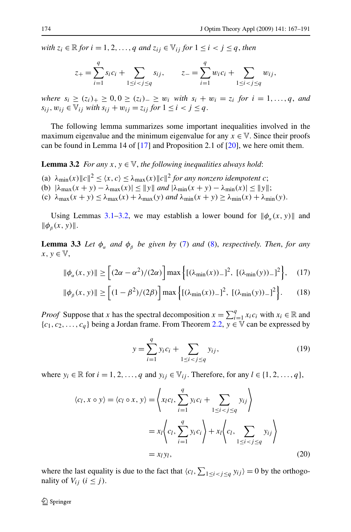<span id="page-7-0"></span>*with*  $z_i \in \mathbb{R}$  *for*  $i = 1, 2, ..., q$  *and*  $z_{ij} \in V_i$  *for*  $1 \leq i < j \leq q$ , *then* 

$$
z_{+} = \sum_{i=1}^{q} s_{i} c_{i} + \sum_{1 \leq i < j \leq q} s_{ij}, \qquad z_{-} = \sum_{i=1}^{q} w_{i} c_{i} + \sum_{1 \leq i < j \leq q} w_{ij},
$$

*where*  $s_i$  ≥  $(z_i)$  + ≥  $0, 0$  ≥  $(z_i)$  − ≥  $w_i$  *with*  $s_i + w_i = z_i$  *for*  $i = 1, ..., q$ , *and s<sub>ij</sub>*,  $w_{ij}$  ∈  $\mathbb{V}_{ij}$  *with*  $s_{ij} + w_{ij} = z_{ij}$  *for*  $1 \leq i < j \leq q$ .

The following lemma summarizes some important inequalities involved in the maximum eigenvalue and the minimum eigenvalue for any  $x \in V$ . Since their proofs can be found in Lemma 14 of  $[17]$  $[17]$  and Proposition 2.1 of  $[20]$  $[20]$ , we here omit them.

**Lemma 3.2** *For any*  $x, y \in V$ *, the following inequalities always hold:* 

- (a)  $\lambda_{\min}(x) \|c\|^2 \leq \langle x, c \rangle \leq \lambda_{\max}(x) \|c\|^2$  for any nonzero idempotent *c*;
- (b)  $|\lambda_{\max}(x + y) \lambda_{\max}(x)| \le ||y||$  and  $|\lambda_{\min}(x + y) \lambda_{\min}(x)| \le ||y||$ ;
- (c)  $\lambda_{\max}(x + y) \leq \lambda_{\max}(x) + \lambda_{\max}(y)$  *and*  $\lambda_{\min}(x + y) \geq \lambda_{\min}(x) + \lambda_{\min}(y)$ .

Using Lemmas [3.1](#page-6-0)–3.2, we may establish a lower bound for  $\|\phi_{\alpha}(x, y)\|$  and  $\|\phi_{\beta}(x,y)\|.$ 

**Lemma 3.3** *Let*  $\phi_{\alpha}$  *and*  $\phi_{\beta}$  *be given by* [\(7](#page-2-0)) *and* ([8\)](#page-2-0), *respectively. Then, for any*  $x, y \in \mathbb{V}$ ,

$$
\|\phi_{\alpha}(x,y)\| \ge \left[ (2\alpha - \alpha^2)/(2\alpha) \right] \max\left\{ [(\lambda_{\min}(x))_{-}]^2, \ [(\lambda_{\min}(y))_{-}]^2 \right\},\tag{17}
$$

$$
\|\phi_{\beta}(x,y)\| \ge \left[ (1-\beta^2)/(2\beta) \right] \max \left\{ [(\lambda_{\min}(x))_{-}]^2, \, [(\lambda_{\min}(y))_{-}]^2 \right\}.
$$
 (18)

*Proof* Suppose that *x* has the spectral decomposition  $x = \sum_{i=1}^{q} x_i c_i$  with  $x_i \in \mathbb{R}$  and  ${c_1, c_2, ..., c_q}$  being a Jordan frame. From Theorem [2.2](#page-6-0),  $y \in \mathbb{V}$  can be expressed by

$$
y = \sum_{i=1}^{q} y_i c_i + \sum_{1 \le i < j \le q} y_{ij},\tag{19}
$$

where  $y_i \in \mathbb{R}$  for  $i = 1, 2, ..., q$  and  $y_{ij} \in V_{ij}$ . Therefore, for any  $l \in \{1, 2, ..., q\}$ ,

$$
\langle c_l, x \circ y \rangle = \langle c_l \circ x, y \rangle = \left\langle x_l c_l, \sum_{i=1}^q y_i c_i + \sum_{1 \le i < j \le q} y_{ij} \right\rangle
$$
\n
$$
= x_l \left\langle c_l, \sum_{i=1}^q y_i c_i \right\rangle + x_l \left\langle c_l, \sum_{1 \le i < j \le q} y_{ij} \right\rangle
$$
\n
$$
= x_l y_l, \tag{20}
$$

where the last equality is due to the fact that  $\langle c_l, \sum_{1 \leq i < j \leq q} y_{ij} \rangle = 0$  by the orthogonality of  $V_{ij}$   $(i \leq j)$ .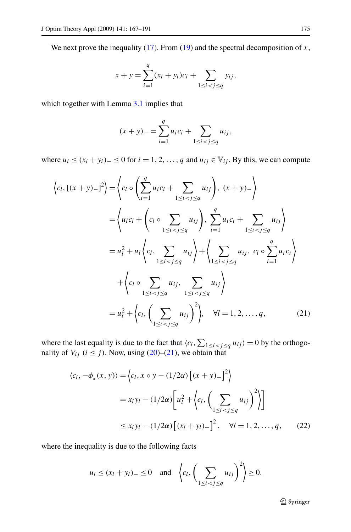<span id="page-8-0"></span>We next prove the inequality  $(17)$  $(17)$ . From  $(19)$  $(19)$  $(19)$  and the spectral decomposition of *x*,

$$
x + y = \sum_{i=1}^{q} (x_i + y_i)c_i + \sum_{1 \le i < j \le q} y_{ij},
$$

which together with Lemma [3.1](#page-6-0) implies that

$$
(x + y)_{-} = \sum_{i=1}^{q} u_i c_i + \sum_{1 \le i < j \le q} u_{ij},
$$

where  $u_i$  ≤  $(x_i + y_i)$ <sub>−</sub> ≤ 0 for  $i = 1, 2, ..., q$  and  $u_{ij}$  ∈  $\mathbb{V}_{ij}$ . By this, we can compute

$$
\langle c_l, [(x + y)_{-}]^2 \rangle = \langle c_l \circ \left( \sum_{i=1}^q u_i c_i + \sum_{1 \le i < j \le q} u_{ij} \right), (x + y)_{-} \rangle
$$
\n
$$
= \langle u_l c_l + \left( c_l \circ \sum_{1 \le i < j \le q} u_{ij} \right), \sum_{i=1}^q u_i c_i + \sum_{1 \le i < j \le q} u_{ij} \rangle
$$
\n
$$
= u_l^2 + u_l \langle c_l, \sum_{1 \le i < j \le q} u_{ij} \rangle + \langle \sum_{1 \le i < j \le q} u_{ij}, c_l \circ \sum_{i=1}^q u_i c_i \rangle
$$
\n
$$
+ \langle c_l \circ \sum_{1 \le i < j \le q} u_{ij}, \sum_{1 \le i < j \le q} u_{ij} \rangle
$$
\n
$$
= u_l^2 + \langle c_l, \left( \sum_{1 \le i < j \le q} u_{ij} \right)^2 \rangle, \quad \forall l = 1, 2, ..., q,
$$
\n(21)

where the last equality is due to the fact that  $\langle c_l, \sum_{1 \leq i < j \leq q} u_{ij} \rangle = 0$  by the orthogonality of  $V_{ij}$  ( $i \leq j$ ). Now, using [\(20](#page-7-0))–(21), we obtain that

$$
\langle c_l, -\phi_\alpha(x, y) \rangle = \langle c_l, x \circ y - (1/2\alpha) \left[ (x + y)_- \right]^2 \rangle
$$
  
=  $x_l y_l - (1/2\alpha) \left[ u_l^2 + \langle c_l, \left( \sum_{1 \le i < j \le q} u_{ij} \right)^2 \rangle \right]$   

$$
\le x_l y_l - (1/2\alpha) \left[ (x_l + y_l)_- \right]^2, \quad \forall l = 1, 2, \dots, q, \qquad (22)
$$

where the inequality is due to the following facts

$$
u_l \le (x_l + y_l)_- \le 0
$$
 and  $\left\langle c_l, \left( \sum_{1 \le i < j \le q} u_{ij} \right)^2 \right\rangle \ge 0.$ 

2 Springer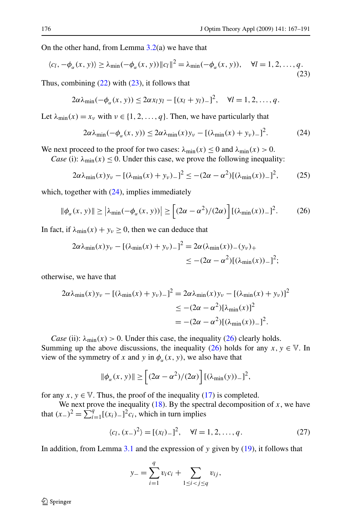<span id="page-9-0"></span>On the other hand, from Lemma  $3.2(a)$  $3.2(a)$  we have that

$$
\langle c_l, -\phi_\alpha(x, y) \rangle \ge \lambda_{\min}(-\phi_\alpha(x, y)) \|c_l\|^2 = \lambda_{\min}(-\phi_\alpha(x, y)), \quad \forall l = 1, 2, \dots, q.
$$
\n(23)

Thus, combining  $(22)$  $(22)$  with  $(23)$ , it follows that

$$
2\alpha\lambda_{\min}(-\phi_{\alpha}(x, y)) \leq 2\alpha x_{l}y_{l} - [(x_{l}+y_{l})-]^{2}, \quad \forall l=1, 2, \ldots, q.
$$

Let  $\lambda_{\min}(x) = x_{\nu}$  with  $\nu \in \{1, 2, ..., q\}$ . Then, we have particularly that

$$
2\alpha\lambda_{\min}(-\phi_{\alpha}(x, y)) \le 2\alpha\lambda_{\min}(x)y_{\nu} - [(\lambda_{\min}(x) + y_{\nu})_{-}]^{2}.
$$
 (24)

We next proceed to the proof for two cases:  $\lambda_{\min}(x) \le 0$  and  $\lambda_{\min}(x) > 0$ .

*Case* (i):  $\lambda_{\min}(x) \leq 0$ . Under this case, we prove the following inequality:

$$
2\alpha\lambda_{\min}(x)y_{\nu} - [(\lambda_{\min}(x) + y_{\nu})_{-}]^{2} \le -(2\alpha - \alpha^{2})[(\lambda_{\min}(x))_{-}]^{2}, \qquad (25)
$$

which, together with  $(24)$ , implies immediately

$$
\|\phi_{\alpha}(x,y)\| \ge |\lambda_{\min}(-\phi_{\alpha}(x,y))| \ge [(2\alpha - \alpha^2)/(2\alpha)] [(\lambda_{\min}(x))_{-}]^2. \tag{26}
$$

In fact, if  $\lambda_{\min}(x) + y_{\nu} \ge 0$ , then we can deduce that

$$
2\alpha\lambda_{\min}(x)y_v - [(\lambda_{\min}(x) + y_v)_-]^2 = 2\alpha(\lambda_{\min}(x)) - (y_v)_+ \leq -(2\alpha - \alpha^2)[(\lambda_{\min}(x))_-]^2;
$$

otherwise, we have that

$$
2\alpha\lambda_{\min}(x)y_{\nu} - [(\lambda_{\min}(x) + y_{\nu})_{-}]^{2} = 2\alpha\lambda_{\min}(x)y_{\nu} - [(\lambda_{\min}(x) + y_{\nu})]^{2}
$$
  
\n
$$
\leq -(2\alpha - \alpha^{2})[\lambda_{\min}(x)]^{2}
$$
  
\n
$$
= -(2\alpha - \alpha^{2})[(\lambda_{\min}(x))_{-}]^{2}.
$$

*Case* (ii):  $\lambda_{\min}(x) > 0$ . Under this case, the inequality (26) clearly holds. Summing up the above discussions, the inequality (26) holds for any  $x, y \in V$ . In view of the symmetry of *x* and *y* in  $\phi_{\alpha}(x, y)$ , we also have that

$$
\|\phi_{\alpha}(x,y)\| \ge \left[ (2\alpha - \alpha^2)/(2\alpha) \right] [(\lambda_{\min}(y))_{-}]^2,
$$

for any  $x, y \in V$ . Thus, the proof of the inequality [\(17\)](#page-7-0) is completed.

We next prove the inequality  $(18)$  $(18)$ . By the spectral decomposition of *x*, we have that  $(x_{-})^2 = \sum_{i=1}^{4} [(x_i)_{-}]^2 c_i$ , which in turn implies

$$
\langle c_l, (x_-)^2 \rangle = [(x_l)_-]^2, \quad \forall l = 1, 2, \dots, q. \tag{27}
$$

In addition, from Lemma [3.1](#page-6-0) and the expression of *y* given by ([19](#page-7-0)), it follows that

$$
y_{-} = \sum_{i=1}^{q} v_i c_i + \sum_{1 \le i < j \le q} v_{ij},
$$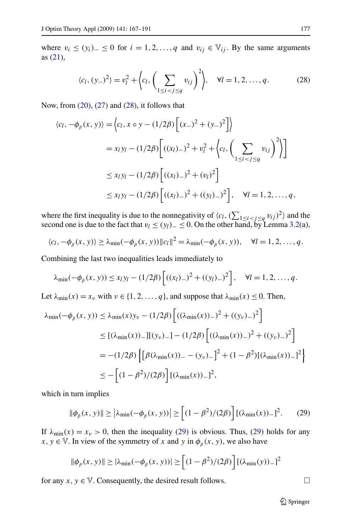where  $v_i$  ≤  $(y_i)$ <sub>−</sub> ≤ 0 for  $i = 1, 2, ..., q$  and  $v_{ij} \in V_{ij}$ . By the same arguments as ([21\)](#page-8-0),

$$
\langle c_l, (y_-)^2 \rangle = v_l^2 + \left\langle c_l, \left( \sum_{1 \le i < j \le q} v_{ij} \right)^2 \right\rangle, \quad \forall l = 1, 2, \dots, q. \tag{28}
$$

Now, from  $(20)$  $(20)$ ,  $(27)$  and  $(28)$ , it follows that

$$
\langle c_l, -\phi_\beta(x, y) \rangle = \langle c_l, x \circ y - (1/2\beta) \left[ (x_-)^2 + (y_-)^2 \right] \rangle
$$
  
=  $x_l y_l - (1/2\beta) \left[ ((x_l)_-)^2 + v_l^2 + \langle c_l, \left( \sum_{1 \le i < j \le q} v_{ij} \right)^2 \right] \right]$   

$$
\le x_l y_l - (1/2\beta) \left[ ((x_l)_-)^2 + (v_l)^2 \right]
$$
  

$$
\le x_l y_l - (1/2\beta) \left[ ((x_l)_-)^2 + ((y_l)_-)^2 \right], \quad \forall l = 1, 2, ..., q,
$$

where the first inequality is due to the nonnegativity of  $\langle c_l, (\sum_{1 \le i < j \le q} v_{ij})^2 \rangle$  and the second one is due to the fact that  $v_l \le (y_l)_-\le 0$ . On the other hand, by Lemma [3.2\(](#page-7-0)a),

$$
\langle c_l, -\phi_\beta(x, y) \rangle \geq \lambda_{\min}(-\phi_\beta(x, y)) \|c_l\|^2 = \lambda_{\min}(-\phi_\beta(x, y)), \quad \forall l = 1, 2, \dots, q.
$$

Combining the last two inequalities leads immediately to

$$
\lambda_{\min}(-\phi_{\beta}(x, y)) \le x_l y_l - (1/2\beta) \left[ ((x_l)_{-})^2 + ((y_l)_{-})^2 \right], \quad \forall l = 1, 2, ..., q.
$$

Let  $\lambda_{\min}(x) = x_v$  with  $v \in \{1, 2, ..., q\}$ , and suppose that  $\lambda_{\min}(x) \le 0$ . Then,

$$
\lambda_{\min}(-\phi_{\beta}(x, y)) \leq \lambda_{\min}(x)y_{\nu} - (1/2\beta) \left[ ((\lambda_{\min}(x))_{-})^{2} + ((y_{\nu})_{-})^{2} \right]
$$
  
\n
$$
\leq [(\lambda_{\min}(x))_{-}][(y_{\nu})_{-}] - (1/2\beta) \left[ ((\lambda_{\min}(x))_{-})^{2} + ((y_{\nu})_{-})^{2} \right]
$$
  
\n
$$
= -(1/2\beta) \left\{ \left[ \beta(\lambda_{\min}(x))_{-} - (y_{\nu})_{-} \right]^{2} + (1 - \beta^{2}) [(\lambda_{\min}(x))_{-}]^{2} \right\}
$$
  
\n
$$
\leq - \left[ (1 - \beta^{2})/(2\beta) \right] [(\lambda_{\min}(x))_{-}]^{2},
$$

which in turn implies

$$
\|\phi_{\beta}(x,y)\| \ge \left|\lambda_{\min}(-\phi_{\beta}(x,y))\right| \ge \left[(1-\beta^2)/(2\beta)\right] \left[(\lambda_{\min}(x))_{-}\right]^2. \tag{29}
$$

If  $\lambda_{\min}(x) = x_v > 0$ , then the inequality (29) is obvious. Thus, (29) holds for any *x*, *y*  $\in$  V. In view of the symmetry of *x* and *y* in  $\phi$ <sub>β</sub> (*x, y*), we also have

$$
\|\phi_{\beta}(x,y)\| \ge |\lambda_{\min}(-\phi_{\beta}(x,y))| \ge \left[ (1-\beta^2)/(2\beta) \right] [(\lambda_{\min}(y))_{-}]^2
$$

for any  $x, y \in V$ . Consequently, the desired result follows.  $\Box$ 

 $\mathcal{D}$  Springer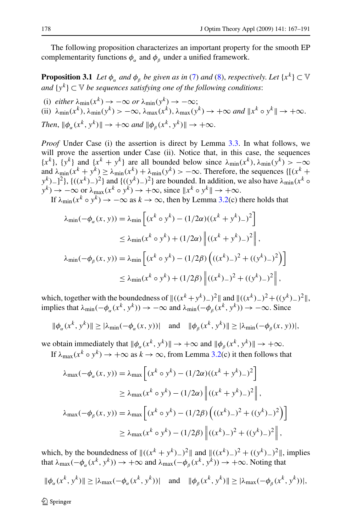<span id="page-11-0"></span>The following proposition characterizes an important property for the smooth EP complementarity functions  $\phi_{\alpha}$  and  $\phi_{\beta}$  under a unified framework.

**Proposition 3.1** *Let*  $\phi_{\alpha}$  *and*  $\phi_{\beta}$  *be given as in* ([7\)](#page-2-0) *and* [\(8](#page-2-0)), *respectively. Let* {*x*<sup>*k*</sup>} ⊂  $\vee$ *and*  $\{y^k\}$  ⊂  $\vee$  *be sequences satisfying one of the following conditions:* 

(i)  $\text{either } \lambda_{\min}(x^k) \rightarrow -\infty \text{ or } \lambda_{\min}(y^k) \rightarrow -\infty;$ (ii)  $\lambda_{\min}(x^k)$ ,  $\lambda_{\min}(y^k) > -\infty$ ,  $\lambda_{\max}(x^k)$ ,  $\lambda_{\max}(y^k) \to +\infty$  and  $||x^k \circ y^k|| \to +\infty$ . *Then*,  $\|\phi_{\alpha}(x^k, y^k)\| \to +\infty$  *and*  $\|\phi_{\beta}(x^k, y^k)\| \to +\infty$ .

*Proof* Under Case (i) the assertion is direct by Lemma [3.3.](#page-7-0) In what follows, we will prove the assertion under Case (ii). Notice that, in this case, the sequences  ${x^k}$ ,  ${y^k}$  and  ${x^k + y^k}$  are all bounded below since  $\lambda_{min}(x^k)$ ,  $\lambda_{min}(y^k) > -\infty$ and  $\lambda_{\min}(x^k + y^k) \ge \lambda_{\min}(x^k) + \lambda_{\min}(y^k) > -\infty$ . Therefore, the sequences { $[(x^k + y^k)]$ }  $y^k$ )−]<sup>2</sup>}, { $((x^k)$ −)<sup>2</sup>} and { $((y^k)$ −)<sup>2</sup>} are bounded. In addition, we also have  $\lambda_{\min}(x^k \circ \lambda)$  $y^k$ ) →  $-\infty$  or  $\lambda_{\max}(x^k \circ y^k)$  →  $+\infty$ , since  $||x^k \circ y^k||$  →  $+\infty$ .

If  $\lambda_{\min}(x^k \circ y^k) \to -\infty$  as  $k \to \infty$ , then by Lemma [3.2](#page-7-0)(c) there holds that

$$
\lambda_{\min}(-\phi_{\alpha}(x, y)) = \lambda_{\min} \left[ (x^{k} \circ y^{k}) - (1/2\alpha)((x^{k} + y^{k})_{-})^{2} \right]
$$
  
\n
$$
\leq \lambda_{\min}(x^{k} \circ y^{k}) + (1/2\alpha) \left\| ((x^{k} + y^{k})_{-})^{2} \right\|,
$$
  
\n
$$
\lambda_{\min}(-\phi_{\beta}(x, y)) = \lambda_{\min} \left[ (x^{k} \circ y^{k}) - (1/2\beta) \left( ((x^{k})_{-})^{2} + ((y^{k})_{-})^{2} \right) \right]
$$
  
\n
$$
\leq \lambda_{\min}(x^{k} \circ y^{k}) + (1/2\beta) \left\| ((x^{k})_{-})^{2} + ((y^{k})_{-})^{2} \right\|,
$$

which, together with the boundedness of  $\|(x^k + y^k) -)^2\|$  and  $\|(x^k) -)^2 + ((y^k) -)^2\|$ , implies that  $\lambda_{\min}(-\phi_{\alpha}(x^k, y^k)) \to -\infty$  and  $\lambda_{\min}(-\phi_{\beta}(x^k, y^k)) \to -\infty$ . Since

$$
\|\phi_{\alpha}(x^k, y^k)\| \ge |\lambda_{\min}(-\phi_{\alpha}(x, y))| \quad \text{and} \quad \|\phi_{\beta}(x^k, y^k)\| \ge |\lambda_{\min}(-\phi_{\beta}(x, y))|,
$$

we obtain immediately that  $\|\phi_{\alpha}(x^k, y^k)\| \to +\infty$  and  $\|\phi_{\beta}(x^k, y^k)\| \to +\infty$ .

If  $\lambda_{\max}(x^k \circ y^k) \to +\infty$  as  $k \to \infty$ , from Lemma [3.2](#page-7-0)(c) it then follows that

$$
\lambda_{\max}(-\phi_{\alpha}(x, y)) = \lambda_{\max} \left[ (x^{k} \circ y^{k}) - (1/2\alpha)((x^{k} + y^{k}) -)^{2} \right]
$$
  
\n
$$
\geq \lambda_{\max} (x^{k} \circ y^{k}) - (1/2\alpha) \left\| ((x^{k} + y^{k}) -)^{2} \right\|,
$$
  
\n
$$
\lambda_{\max}(-\phi_{\beta}(x, y)) = \lambda_{\max} \left[ (x^{k} \circ y^{k}) - (1/2\beta) \left( ((x^{k}) -)^{2} + ((y^{k}) -)^{2} \right) \right]
$$
  
\n
$$
\geq \lambda_{\max} (x^{k} \circ y^{k}) - (1/2\beta) \left\| ((x^{k}) -)^{2} + ((y^{k}) -)^{2} \right\|,
$$

which, by the boundedness of  $\|(x^k + y^k)^{-2}\|$  and  $\|(x^k)^{-2} + (y^k)^{-2}\|$ , implies that  $\lambda_{\text{max}}(-\phi_{\alpha}(x^{k},y^{k})) \rightarrow +\infty$  and  $\lambda_{\text{max}}(-\phi_{\beta}(x^{k},y^{k})) \rightarrow +\infty$ . Noting that

$$
\|\phi_{\alpha}(x^k, y^k)\| \ge |\lambda_{\max}(-\phi_{\alpha}(x^k, y^k))| \quad \text{and} \quad \|\phi_{\beta}(x^k, y^k)\| \ge |\lambda_{\max}(-\phi_{\beta}(x^k, y^k))|,
$$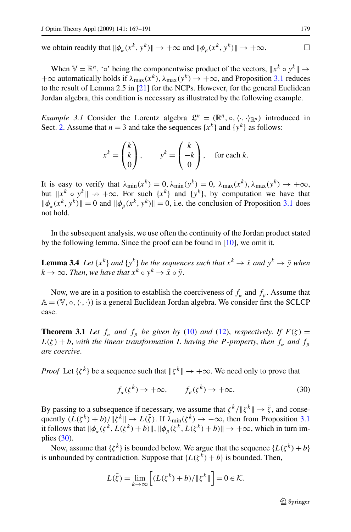<span id="page-12-0"></span>we obtain readily that  $\|\phi_{\alpha}(x^k, y^k)\| \to +\infty$  and  $\|\phi_{\beta}(x^k, y^k)\| \to +\infty$ .

When  $\mathbb{V} = \mathbb{R}^n$ , '∘' being the componentwise product of the vectors,  $\Vert x^k \circ y^k \Vert \to$  $+\infty$  automatically holds if  $\lambda_{\text{max}}(x^k)$ ,  $\lambda_{\text{max}}(y^k) \to +\infty$ , and Proposition [3.1](#page-11-0) reduces to the result of Lemma 2.5 in [\[21](#page-24-0)] for the NCPs. However, for the general Euclidean Jordan algebra, this condition is necessary as illustrated by the following example.

*Example 3.1* Consider the Lorentz algebra  $\mathcal{L}^n = (\mathbb{R}^n, \circ, \langle \cdot, \cdot \rangle_{\mathbb{R}^n})$  introduced in Sect. [2.](#page-3-0) Assume that  $n = 3$  and take the sequences  $\{x^k\}$  and  $\{y^k\}$  as follows:

$$
x^k = \begin{pmatrix} k \\ k \\ 0 \end{pmatrix}, \qquad y^k = \begin{pmatrix} k \\ -k \\ 0 \end{pmatrix}, \quad \text{for each } k.
$$

It is easy to verify that  $\lambda_{\min}(x^k) = 0$ ,  $\lambda_{\min}(y^k) = 0$ ,  $\lambda_{\max}(x^k)$ ,  $\lambda_{\max}(y^k) \to +\infty$ , but  $\Vert x^k \circ y^k \Vert \to +\infty$ . For such  $\{x^k\}$  and  $\{y^k\}$ , by computation we have that  $\|\phi_\alpha(x^k, y^k)\| = 0$  and  $\|\phi_\beta(x^k, y^k)\| = 0$ , i.e. the conclusion of Proposition [3.1](#page-11-0) does not hold.

In the subsequent analysis, we use often the continuity of the Jordan product stated by the following lemma. Since the proof can be found in [[10\]](#page-24-0), we omit it.

**Lemma 3.4** *Let*  $\{x^k\}$  *and*  $\{y^k\}$  *be the sequences such that*  $x^k \to \bar{x}$  *and*  $y^k \to \bar{y}$  *when*  $k \to \infty$ . *Then, we have that*  $x^k \circ y^k \to \bar{x} \circ \bar{y}$ .

Now, we are in a position to establish the coerciveness of  $f_\alpha$  and  $f_\beta$ . Assume that  $A = (V, o, \langle \cdot, \cdot \rangle)$  is a general Euclidean Jordan algebra. We consider first the SCLCP case.

**Theorem 3.1** *Let*  $f_\alpha$  *and*  $f_\beta$  *be given by* [\(10](#page-3-0)) *and* [\(12](#page-3-0)), *respectively. If*  $F(\zeta) =$  $L(\zeta) + b$ , with the linear transformation *L* having the *P*-property, then  $f_a$  and  $f_b$ *are coercive*.

*Proof* Let  $\{\zeta^k\}$  be a sequence such that  $\|\zeta^k\| \to +\infty$ . We need only to prove that

$$
f_{\alpha}(\zeta^k) \to +\infty, \qquad f_{\beta}(\zeta^k) \to +\infty. \tag{30}
$$

By passing to a subsequence if necessary, we assume that  $\zeta^k / ||\zeta^k|| \to \overline{\zeta}$ , and consequently  $(L(\zeta^k) + b)/\|\zeta^k\| \to L(\bar{\zeta})$ . If  $\lambda_{\min}(\zeta^k) \to -\infty$ , then from Proposition [3.1](#page-11-0) it follows that  $\|\phi_{\alpha}(\zeta^k, L(\zeta^k) + b)\|$ ,  $\|\phi_{\beta}(\zeta^k, L(\zeta^k) + b)\| \to +\infty$ , which in turn implies (30).

Now, assume that  $\{\zeta^k\}$  is bounded below. We argue that the sequence  $\{L(\zeta^k)+b\}$ is unbounded by contradiction. Suppose that  ${L(\zeta^k) + b}$  is bounded. Then,

$$
L(\bar{\zeta}) = \lim_{k \to \infty} \left[ (L(\zeta^k) + b) / \|\zeta^k\| \right] = 0 \in \mathcal{K}.
$$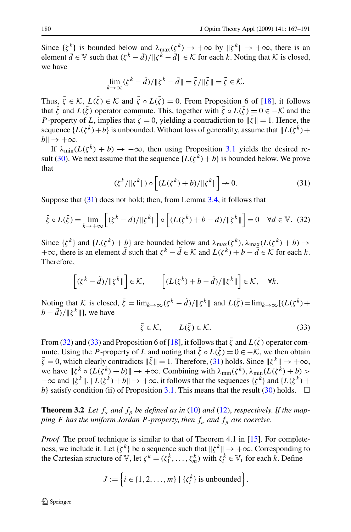<span id="page-13-0"></span>Since  $\{\zeta^k\}$  is bounded below and  $\lambda_{\max}(\zeta^k) \to +\infty$  by  $\|\zeta^k\| \to +\infty$ , there is an element  $\overline{d} \in \mathbb{V}$  such that  $(\zeta^k - \overline{d}) / ||\zeta^k - \overline{d}|| \in \mathcal{K}$  for each  $\overline{k}$ . Noting that  $\mathcal{K}$  is closed, we have

$$
\lim_{k \to \infty} (\zeta^k - \bar{d}) / \|\zeta^k - \bar{d}\| = \bar{\zeta} / \|\bar{\zeta}\| = \bar{\zeta} \in \mathcal{K}.
$$

Thus,  $\bar{\zeta} \in \mathcal{K}$ ,  $L(\bar{\zeta}) \in \mathcal{K}$  and  $\bar{\zeta} \circ L(\bar{\zeta}) = 0$ . From Proposition 6 of [\[18](#page-24-0)], it follows that  $\bar{\zeta}$  and  $L(\bar{\zeta})$  operator commute. This, together with  $\bar{\zeta} \circ L(\bar{\zeta}) = 0 \in -\mathcal{K}$  and the *P* -property of *L*, implies that  $\bar{\zeta} = 0$ , yielding a contradiction to  $\|\bar{\zeta}\| = 1$ . Hence, the sequence  $\{L(\zeta^k)+b\}$  is unbounded. Without loss of generality, assume that  $\|L(\zeta^k)+b\|$  $b \parallel \rightarrow +\infty$ .

If  $\lambda_{\min}(L(\zeta^k) + b) \to -\infty$ , then using Proposition [3.1](#page-11-0) yields the desired re-sult ([30\)](#page-12-0). We next assume that the sequence  $\{L(\zeta^k) + b\}$  is bounded below. We prove that

$$
(\zeta^k / \|\zeta^k\|) \circ \left[ (L(\zeta^k) + b) / \|\zeta^k\| \right] \to 0. \tag{31}
$$

Suppose that (31) does not hold; then, from Lemma [3.4,](#page-12-0) it follows that

$$
\bar{\zeta} \circ L(\bar{\zeta}) = \lim_{k \to +\infty} \left[ (\zeta^k - d) / \|\zeta^k\| \right] \circ \left[ (L(\zeta^k) + b - d) / \|\zeta^k\| \right] = 0 \quad \forall d \in \mathbb{V}. \tag{32}
$$

Since  $\{\zeta^k\}$  and  $\{L(\zeta^k) + b\}$  are bounded below and  $\lambda_{\max}(\zeta^k)$ ,  $\lambda_{\max}(L(\zeta^k) + b) \rightarrow$ +∞, there is an element  $\tilde{d}$  such that  $\zeta^k - \tilde{d} \in \mathcal{K}$  and  $L(\zeta^k) + b - \tilde{d} \in \mathcal{K}$  for each *k*. Therefore,

$$
\left[ (\zeta^k - \tilde{d}) / \|\zeta^k\| \right] \in \mathcal{K}, \qquad \left[ (L(\zeta^k) + b - \tilde{d}) / \|\zeta^k\| \right] \in \mathcal{K}, \quad \forall k.
$$

Noting that K is closed,  $\bar{\zeta} = \lim_{k \to \infty} (\zeta^k - \tilde{d}) / ||\zeta^k||$  and  $L(\bar{\zeta}) = \lim_{k \to \infty} [(L(\zeta^k) +$  $b - \tilde{d}$ )/|| $\zeta^k$ ||], we have

$$
\bar{\zeta} \in \mathcal{K}, \qquad L(\bar{\zeta}) \in \mathcal{K}.
$$

From (32) and (33) and Proposition 6 of [\[18](#page-24-0)], it follows that  $\bar{\zeta}$  and  $L(\bar{\zeta})$  operator commute. Using the *P*-property of *L* and noting that  $\bar{\zeta} \circ L(\bar{\zeta}) = 0 \in -\mathcal{K}$ , we then obtain  $\bar{\zeta} = 0$ , which clearly contradicts  $\|\bar{\zeta}\| = 1$ . Therefore, (31) holds. Since  $\|\zeta^k\| \to +\infty$ , we have  $\|\zeta^{k} \circ (L(\zeta^{k}) + b)\| \to +\infty$ . Combining with  $\lambda_{\min}(\zeta^{k}), \lambda_{\min}(\tilde{L}(\zeta^{k}) + b)$  >  $-\infty$  and  $\|\zeta^k\|$ ,  $\|L(\zeta^k) + b\| \to +\infty$ , it follows that the sequences  $\{\zeta^k\}$  and  $\{L(\zeta^k) + b\| \to +\infty\}$ *b*} satisfy condition (ii) of Proposition [3.1](#page-11-0). This means that the result [\(30](#page-12-0)) holds.  $\Box$ 

**Theorem 3.2** *Let*  $f_a$  *and*  $f_b$  *be defined as in* ([10\)](#page-3-0) *and* ([12\)](#page-3-0), *respectively. If the mapping F has the uniform Jordan P-property, then*  $f_{\alpha}$  *and*  $f_{\beta}$  *are coercive.* 

*Proof* The proof technique is similar to that of Theorem 4.1 in [\[15](#page-24-0)]. For completeness, we include it. Let  $\{\zeta^k\}$  be a sequence such that  $\|\zeta^k\| \to +\infty$ . Corresponding to the Cartesian structure of V, let  $\zeta^k = (\zeta_1^k, \ldots, \zeta_m^k)$  with  $\zeta_i^k \in V_i$  for each *k*. Define

$$
J := \left\{ i \in \{1, 2, \ldots, m\} \mid \{\zeta_i^k\} \text{ is unbounded} \right\}.
$$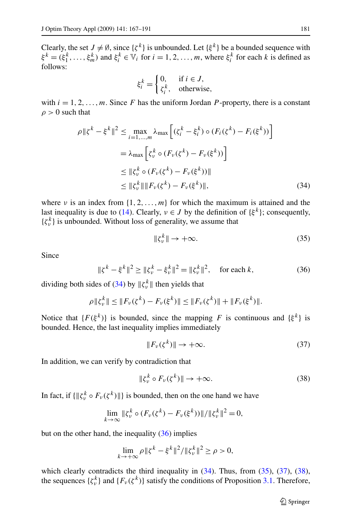Clearly, the set  $J \neq \emptyset$ , since  $\{\zeta^k\}$  is unbounded. Let  $\{\xi^k\}$  be a bounded sequence with  $\xi^k = (\xi^k_1, \dots, \xi^k_m)$  and  $\xi^k_i \in V_i$  for  $i = 1, 2, \dots, m$ , where  $\xi^k_i$  for each *k* is defined as follows:

$$
\xi_i^k = \begin{cases} 0, & \text{if } i \in J, \\ \zeta_i^k, & \text{otherwise,} \end{cases}
$$

with  $i = 1, 2, \ldots, m$ . Since *F* has the uniform Jordan *P*-property, there is a constant  $\rho > 0$  such that

$$
\rho \| \xi^{k} - \xi^{k} \|^{2} \leq \max_{i=1,...,m} \lambda_{\max} \left[ (\xi_{i}^{k} - \xi_{i}^{k}) \circ (F_{i}(\xi^{k}) - F_{i}(\xi^{k})) \right]
$$
  

$$
= \lambda_{\max} \left[ \xi_{\nu}^{k} \circ (F_{\nu}(\xi^{k}) - F_{\nu}(\xi^{k})) \right]
$$
  

$$
\leq \| \xi_{\nu}^{k} \circ (F_{\nu}(\xi^{k}) - F_{\nu}(\xi^{k})) \|
$$
  

$$
\leq \| \xi_{\nu}^{k} \| \| F_{\nu}(\xi^{k}) - F_{\nu}(\xi^{k}) \|,
$$
 (34)

where *ν* is an index from  $\{1, 2, \ldots, m\}$  for which the maximum is attained and the last inequality is due to [\(14](#page-5-0)). Clearly,  $v \in J$  by the definition of  $\{\xi^k\}$ ; consequently,  $\{\zeta_v^k\}$  is unbounded. Without loss of generality, we assume that

$$
\|\zeta_v^k\| \to +\infty. \tag{35}
$$

Since

$$
\|\zeta^{k} - \xi^{k}\|^{2} \ge \|\zeta_{\nu}^{k} - \xi_{\nu}^{k}\|^{2} = \|\zeta_{\nu}^{k}\|^{2}, \quad \text{for each } k,
$$
 (36)

dividing both sides of (34) by  $\|\zeta_v^k\|$  then yields that

$$
\rho \| \zeta_{\nu}^{k} \| \leq \| F_{\nu}(\zeta^{k}) - F_{\nu}(\xi^{k}) \| \leq \| F_{\nu}(\zeta^{k}) \| + \| F_{\nu}(\xi^{k}) \|.
$$

Notice that  ${F(\xi^k)}$  is bounded, since the mapping *F* is continuous and  ${\xi^k}$  is bounded. Hence, the last inequality implies immediately

$$
||F_{\nu}(\zeta^{k})|| \to +\infty. \tag{37}
$$

In addition, we can verify by contradiction that

$$
\|\zeta_v^k \circ F_v(\zeta^k)\| \to +\infty. \tag{38}
$$

In fact, if  $\{\|\zeta_v^k \circ F_v(\zeta^k)\|\}$  is bounded, then on the one hand we have

$$
\lim_{k \to \infty} \|\zeta_v^k \circ (F_v(\zeta^k) - F_v(\xi^k))\| / \|\zeta_v^k\|^2 = 0,
$$

but on the other hand, the inequality  $(36)$  implies

$$
\lim_{k \to +\infty} \rho \| \zeta^k - \xi^k \|^2 / \| \zeta_v^k \|^2 \ge \rho > 0,
$$

which clearly contradicts the third inequality in  $(34)$ . Thus, from  $(35)$ ,  $(37)$ ,  $(38)$ , the sequences  $\{\zeta_v^k\}$  and  $\{F_v(\zeta^k)\}$  satisfy the conditions of Proposition [3.1.](#page-11-0) Therefore,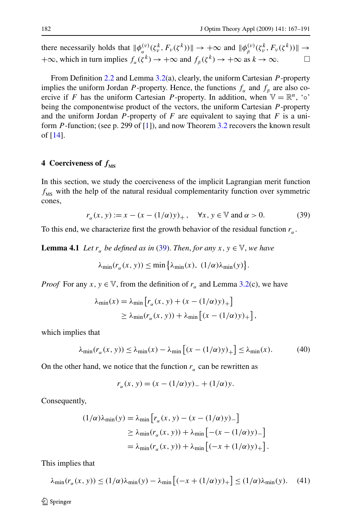<span id="page-15-0"></span>there necessarily holds that  $\|\phi_{\alpha}^{(\nu)}(\zeta_{\nu}^k, F_{\nu}(\zeta^k))\| \to +\infty$  and  $\|\phi_{\beta}^{(\nu)}(\zeta_{\nu}^k, F_{\nu}(\zeta^k))\| \to$  $+\infty$ , which in turn implies  $f_{\alpha}(\zeta^k) \to +\infty$  and  $f_{\beta}(\zeta^k) \to +\infty$  as  $k \to \infty$ .

From Definition [2.2](#page-6-0) and Lemma [3.2](#page-7-0)(a), clearly, the uniform Cartesian *P* -property implies the uniform Jordan *P*-property. Hence, the functions  $f_a$  and  $f_b$  are also coercive if *F* has the uniform Cartesian *P*-property. In addition, when  $\mathbb{V} = \mathbb{R}^n$ , ' $\circ$ ' being the componentwise product of the vectors, the uniform Cartesian *P* -property and the uniform Jordan  $P$ -property of  $F$  are equivalent to saying that  $F$  is a uniform *P* -function; (see p. 299 of [\[1](#page-23-0)]), and now Theorem [3.2](#page-13-0) recovers the known result of [[14\]](#page-24-0).

# **4** Coerciveness of  $f_{\text{MS}}$

In this section, we study the coerciveness of the implicit Lagrangian merit function  $f_{\text{MS}}$  with the help of the natural residual complementarity function over symmetric cones,

$$
r_{\alpha}(x, y) := x - (x - (1/\alpha)y)_{+}, \quad \forall x, y \in \mathbb{V} \text{ and } \alpha > 0.
$$
 (39)

To this end, we characterize first the growth behavior of the residual function  $r_a$ .

**Lemma 4.1** *Let*  $r_{\alpha}$  *be defined as in* (39). *Then, for any*  $x, y \in V$ *, we have* 

$$
\lambda_{\min}(r_{\alpha}(x, y)) \leq \min\left\{\lambda_{\min}(x), (1/\alpha)\lambda_{\min}(y)\right\}.
$$

*Proof* For any  $x, y \in V$ , from the definition of  $r_\alpha$  and Lemma [3.2](#page-7-0)(c), we have

$$
\lambda_{\min}(x) = \lambda_{\min} \left[ r_{\alpha}(x, y) + (x - (1/\alpha)y)_{+} \right]
$$
  
\n
$$
\geq \lambda_{\min} (r_{\alpha}(x, y)) + \lambda_{\min} \left[ (x - (1/\alpha)y)_{+} \right],
$$

which implies that

$$
\lambda_{\min}(r_{\alpha}(x, y)) \le \lambda_{\min}(x) - \lambda_{\min}\left[ (x - (1/\alpha)y)_{+} \right] \le \lambda_{\min}(x). \tag{40}
$$

On the other hand, we notice that the function  $r_\alpha$  can be rewritten as

$$
r_{\alpha}(x, y) = (x - (1/\alpha)y)_{-} + (1/\alpha)y.
$$

Consequently,

$$
(1/\alpha)\lambda_{\min}(y) = \lambda_{\min} \left[ r_{\alpha}(x, y) - (x - (1/\alpha)y)_{-} \right]
$$
  
\n
$$
\geq \lambda_{\min} (r_{\alpha}(x, y)) + \lambda_{\min} \left[ -(x - (1/\alpha)y)_{-} \right]
$$
  
\n
$$
= \lambda_{\min} (r_{\alpha}(x, y)) + \lambda_{\min} \left[ (-x + (1/\alpha)y)_{+} \right].
$$

This implies that

$$
\lambda_{\min}(r_{\alpha}(x, y)) \le (1/\alpha)\lambda_{\min}(y) - \lambda_{\min}\left[(-x + (1/\alpha)y)_{+}\right] \le (1/\alpha)\lambda_{\min}(y). \tag{41}
$$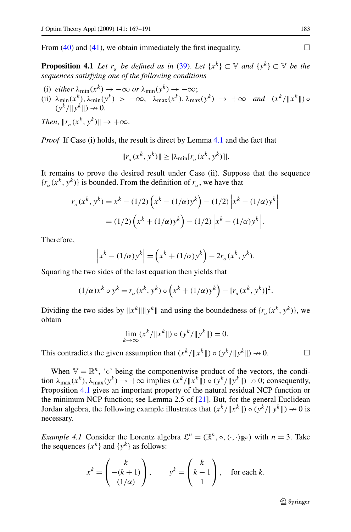<span id="page-16-0"></span>From [\(40](#page-15-0)) and [\(41](#page-15-0)), we obtain immediately the first inequality.  $\Box$ 

**Proposition 4.1** *Let*  $r_{\alpha}$  *be defined as in* ([39\)](#page-15-0). *Let*  $\{x^k\} \subset \mathbb{V}$  *and*  $\{y^k\} \subset \mathbb{V}$  *be the sequences satisfying one of the following conditions*

- (i)  $\text{either } \lambda_{\min}(x^k) \rightarrow -\infty \text{ or } \lambda_{\min}(y^k) \rightarrow -\infty;$
- (ii)  $\lambda_{\min}(x^k)$ ,  $\lambda_{\min}(y^k) > -\infty$ ,  $\lambda_{\max}(x^k)$ ,  $\lambda_{\max}(y^k) \rightarrow +\infty$  *and*  $(x^k/\|x^k\|) \circ$  $(y^k/\|y^k\|) \rightarrow 0.$

*Then*,  $||r_a(x^k, y^k)|| \rightarrow +\infty$ .

*Proof* If Case (i) holds, the result is direct by Lemma [4.1](#page-15-0) and the fact that

$$
||r_{\alpha}(x^k, y^k)|| \ge |\lambda_{\min}[r_{\alpha}(x^k, y^k)]|.
$$

It remains to prove the desired result under Case (ii). Suppose that the sequence  ${r<sub>a</sub>(x<sup>k</sup>, y<sup>k</sup>)}$  is bounded. From the definition of  $r<sub>a</sub>$ , we have that

$$
r_{\alpha}(x^{k}, y^{k}) = x^{k} - (1/2) \left( x^{k} - (1/\alpha)y^{k} \right) - (1/2) \left| x^{k} - (1/\alpha)y^{k} \right|
$$
  
= (1/2)  $\left( x^{k} + (1/\alpha)y^{k} \right) - (1/2) \left| x^{k} - (1/\alpha)y^{k} \right|$ .

Therefore,

$$
\left|x^k - (1/\alpha)y^k\right| = \left(x^k + (1/\alpha)y^k\right) - 2r_\alpha(x^k, y^k).
$$

Squaring the two sides of the last equation then yields that

$$
(1/\alpha)x^{k} \circ y^{k} = r_{\alpha}(x^{k}, y^{k}) \circ (x^{k} + (1/\alpha)y^{k}) - [r_{\alpha}(x^{k}, y^{k})]^{2}.
$$

Dividing the two sides by  $||x^k|| ||y^k||$  and using the boundedness of  $\{r_\alpha(x^k, y^k)\}\)$ , we obtain

$$
\lim_{k \to \infty} (x^k / \|x^k\|) \circ (y^k / \|y^k\|) = 0.
$$

This contradicts the given assumption that  $(x^k / \|x^k\|) \circ (y^k / \|y^k\|) \to 0.$ 

When  $\mathbb{V} = \mathbb{R}^n$ , '∘' being the componentwise product of the vectors, the condition  $\lambda_{\max}(x^k)$ ,  $\lambda_{\max}(y^k) \to +\infty$  implies  $(x^k/\|x^k\|) \circ (y^k/\|y^k\|) \to 0$ ; consequently, Proposition 4.1 gives an important property of the natural residual NCP function or the minimum NCP function; see Lemma 2.5 of  $[21]$  $[21]$ . But, for the general Euclidean Jordan algebra, the following example illustrates that  $(x^k / \|x^k\|) \circ (y^k / \|y^k\|) \to 0$  is necessary.

*Example 4.1* Consider the Lorentz algebra  $\mathcal{L}^n = (\mathbb{R}^n, \circ, \langle \cdot, \cdot \rangle_{\mathbb{R}^n})$  with  $n = 3$ . Take the sequences  $\{x^k\}$  and  $\{y^k\}$  as follows:

$$
x^{k} = \begin{pmatrix} k \\ -(k+1) \\ (1/\alpha) \end{pmatrix}, \qquad y^{k} = \begin{pmatrix} k \\ k-1 \\ 1 \end{pmatrix}, \quad \text{for each } k.
$$

 $\bigcirc$  Springer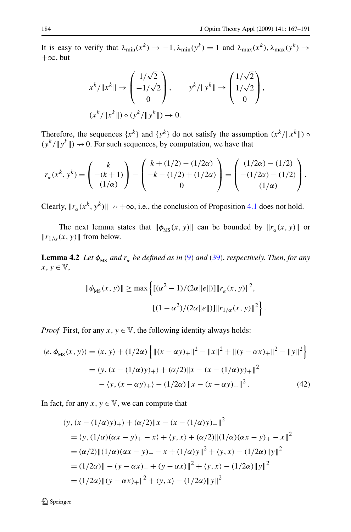<span id="page-17-0"></span>It is easy to verify that  $\lambda_{\min}(x^k) \to -1$ ,  $\lambda_{\min}(y^k) = 1$  and  $\lambda_{\max}(x^k)$ ,  $\lambda_{\max}(y^k) \to$  $+\infty$ , but

$$
x^{k}/\|x^{k}\| \to \begin{pmatrix} 1/\sqrt{2} \\ -1/\sqrt{2} \\ 0 \end{pmatrix}, \qquad y^{k}/\|y^{k}\| \to \begin{pmatrix} 1/\sqrt{2} \\ 1/\sqrt{2} \\ 0 \end{pmatrix},
$$

$$
(x^{k}/\|x^{k}\|) \circ (y^{k}/\|y^{k}\|) \to 0.
$$

Therefore, the sequences  $\{x^k\}$  and  $\{y^k\}$  do not satisfy the assumption  $(x^k/\|x^k\|)$  ◦  $(y^k / \|y^k\|) \rightarrow 0$ . For such sequences, by computation, we have that

$$
r_{\alpha}(x^k, y^k) = \begin{pmatrix} k \\ -(k+1) \\ (1/\alpha) \end{pmatrix} - \begin{pmatrix} k + (1/2) - (1/2\alpha) \\ -k - (1/2) + (1/2\alpha) \\ 0 \end{pmatrix} = \begin{pmatrix} (1/2\alpha) - (1/2) \\ -(1/2\alpha) - (1/2) \\ (1/\alpha) \end{pmatrix}.
$$

Clearly,  $\|r_{\alpha}(x^k, y^k)\| \to +\infty$ , i.e., the conclusion of Proposition [4.1](#page-16-0) does not hold.

The next lemma states that  $\|\phi_{\text{MS}}(x, y)\|$  can be bounded by  $\|r_{\alpha}(x, y)\|$  or  $||r_{1/\alpha}(x, y)||$  from below.

**Lemma 4.2** *Let*  $\phi_{\text{MS}}$  *and*  $r_{\alpha}$  *be defined as in* [\(9](#page-2-0)) *and* ([39\)](#page-15-0), *respectively. Then, for any*  $x, y \in V$ ,

$$
\|\phi_{\text{MS}}(x, y)\| \ge \max \left\{ [(\alpha^2 - 1)/(2\alpha \|\theta\|)] \|r_\alpha(x, y)\|^2, \right. \\ \left. [((1 - \alpha^2)/(2\alpha \|\theta\|)] \|r_{1/\alpha}(x, y)\|^2 \right\}.
$$

*Proof* First, for any  $x, y \in V$ , the following identity always holds:

$$
\langle e, \phi_{\text{MS}}(x, y) \rangle = \langle x, y \rangle + (1/2\alpha) \left\{ \|(x - \alpha y)_+\|^2 - \|x\|^2 + \|(y - \alpha x)_+\|^2 - \|y\|^2 \right\}
$$

$$
= \langle y, (x - (1/\alpha)y)_+ \rangle + (\alpha/2) \|x - (x - (1/\alpha)y)_+\|^2
$$

$$
- \langle y, (x - \alpha y)_+ \rangle - (1/2\alpha) \|x - (x - \alpha y)_+\|^2. \tag{42}
$$

In fact, for any  $x, y \in V$ , we can compute that

$$
\langle y, (x - (1/\alpha)y)_+ \rangle + (\alpha/2) \|x - (x - (1/\alpha)y)_+\|^2
$$
  
=  $\langle y, (1/\alpha)(\alpha x - y)_+ - x \rangle + \langle y, x \rangle + (\alpha/2) \| (1/\alpha)(\alpha x - y)_+ - x \|^2$   
=  $(\alpha/2) \| (1/\alpha)(\alpha x - y)_+ - x + (1/\alpha)y \|^2 + \langle y, x \rangle - (1/2\alpha) \|y\|^2$   
=  $(1/2\alpha) \| - (y - \alpha x)_- + (y - \alpha x) \|^2 + \langle y, x \rangle - (1/2\alpha) \|y\|^2$   
=  $(1/2\alpha) \| (y - \alpha x)_+\|^2 + \langle y, x \rangle - (1/2\alpha) \|y\|^2$ 

 $\mathcal{D}$  Springer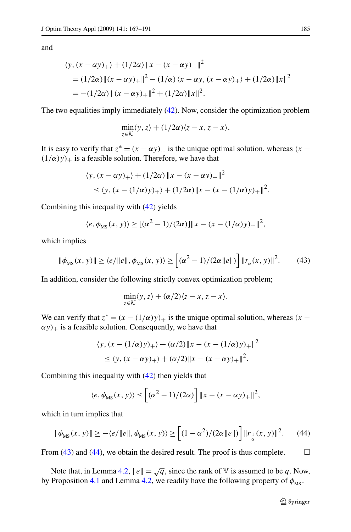and

$$
\langle y, (x - \alpha y)_+ \rangle + (1/2\alpha) \|x - (x - \alpha y)_+\|^2
$$
  
=  $(1/2\alpha) \| (x - \alpha y)_+\|^2 - (1/\alpha) \langle x - \alpha y, (x - \alpha y)_+ \rangle + (1/2\alpha) \|x\|^2$   
=  $-(1/2\alpha) \| (x - \alpha y)_+\|^2 + (1/2\alpha) \|x\|^2$ .

The two equalities imply immediately [\(42](#page-17-0)). Now, consider the optimization problem

$$
\min_{z \in \mathcal{K}} \langle y, z \rangle + (1/2\alpha) \langle z - x, z - x \rangle.
$$

It is easy to verify that  $z^* = (x - \alpha y)_+$  is the unique optimal solution, whereas  $(x - \alpha y)_+$  $(1/\alpha)y$ <sub>+</sub> is a feasible solution. Therefore, we have that

$$
\langle y, (x - \alpha y)_+ \rangle + (1/2\alpha) \|x - (x - \alpha y)_+\|^2
$$
  
\n
$$
\leq \langle y, (x - (1/\alpha)y)_+ \rangle + (1/2\alpha) \|x - (x - (1/\alpha)y)_+\|^2.
$$

Combining this inequality with ([42\)](#page-17-0) yields

$$
\langle e, \phi_{\text{MS}}(x, y) \rangle \ge [(\alpha^2 - 1)/(2\alpha)] \|x - (x - (1/\alpha)y)_{+}\|^2,
$$

which implies

$$
\|\phi_{\rm MS}(x,y)\| \ge \langle e/\|e\|, \phi_{\rm MS}(x,y)\rangle \ge \left[ (\alpha^2 - 1)/(2\alpha \|e\|) \right] \|r_{\alpha}(x,y)\|^2. \tag{43}
$$

In addition, consider the following strictly convex optimization problem;

$$
\min_{z \in \mathcal{K}} \langle y, z \rangle + (\alpha/2) \langle z - x, z - x \rangle.
$$

We can verify that  $z^* = (x - (1/\alpha)y)_+$  is the unique optimal solution, whereas  $(x \alpha y$ )<sub>+</sub> is a feasible solution. Consequently, we have that

$$
\langle y, (x - (1/\alpha)y)_{+} \rangle + (\alpha/2) \|x - (x - (1/\alpha)y)_{+}\|^{2}
$$
  
 
$$
\leq \langle y, (x - \alpha y)_{+} \rangle + (\alpha/2) \|x - (x - \alpha y)_{+}\|^{2}.
$$

Combining this inequality with ([42\)](#page-17-0) then yields that

$$
\langle e, \phi_{\text{MS}}(x, y) \rangle \leq \left[ (\alpha^2 - 1)/(2\alpha) \right] \|x - (x - \alpha y)_{+}\|^2,
$$

which in turn implies that

$$
\|\phi_{\text{MS}}(x, y)\| \ge -\langle e/\|e\|, \phi_{\text{MS}}(x, y)\rangle \ge \left[ (1 - \alpha^2) / (2\alpha \|e\|) \right] \|r_{\frac{1}{\alpha}}(x, y)\|^2. \tag{44}
$$

From (43) and (44), we obtain the desired result. The proof is thus complete.  $\Box$ 

Note that, in Lemma [4.2,](#page-17-0)  $||e|| = \sqrt{q}$ , since the rank of V is assumed to be *q*. Now, by Proposition [4.1](#page-16-0) and Lemma [4.2,](#page-17-0) we readily have the following property of  $\phi_{\text{MS}}$ .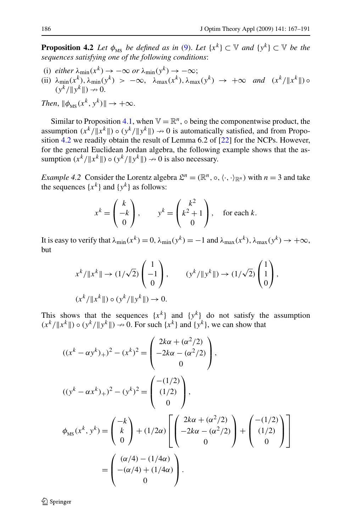<span id="page-19-0"></span>**Proposition 4.2** *Let*  $\phi_{\text{MS}}$  *be defined as in* ([9\)](#page-2-0). *Let*  $\{x^k\} \subset \mathbb{V}$  *and*  $\{y^k\} \subset \mathbb{V}$  *be the sequences satisfying one of the following conditions*:

- (i)  $\text{either } \lambda_{\min}(x^k) \to -\infty \text{ or } \lambda_{\min}(y^k) \to -\infty;$
- (ii)  $\lambda_{\min}(x^k)$ ,  $\lambda_{\min}(y^k) > -\infty$ ,  $\lambda_{\max}(x^k)$ ,  $\lambda_{\max}(y^k) \rightarrow +\infty$  *and*  $(x^k/\|x^k\|) \circ$  $(y^k/\|y^k\|) \rightarrow 0.$

*Then*,  $\|\phi_{\text{MS}}(x^k, y^k)\| \to +\infty$ .

Similar to Proposition [4.1,](#page-16-0) when  $\mathbb{V} = \mathbb{R}^n$ ,  $\circ$  being the componentwise product, the assumption  $(x^k/\|x^k\|) \circ (y^k/\|y^k\|) \to 0$  is automatically satisfied, and from Proposition 4.2 we readily obtain the result of Lemma 6.2 of [\[22](#page-24-0)] for the NCPs. However, for the general Euclidean Jordan algebra, the following example shows that the assumption  $(x^k / \|x^k\|) \circ (y^k / \|y^k\|) \to 0$  is also necessary.

*Example 4.2* Consider the Lorentz algebra  $\mathcal{L}^n = (\mathbb{R}^n, \circ, \langle \cdot, \cdot \rangle_{\mathbb{R}^n})$  with  $n = 3$  and take the sequences  $\{x^k\}$  and  $\{y^k\}$  as follows:

$$
x^{k} = \begin{pmatrix} k \\ -k \\ 0 \end{pmatrix}, \qquad y^{k} = \begin{pmatrix} k^{2} \\ k^{2} + 1 \\ 0 \end{pmatrix}, \quad \text{for each } k.
$$

It is easy to verify that  $\lambda_{\min}(x^k) = 0$ ,  $\lambda_{\min}(y^k) = -1$  and  $\lambda_{\max}(x^k)$ ,  $\lambda_{\max}(y^k) \to +\infty$ , but

$$
x^{k} / \|x^{k}\| \to (1/\sqrt{2}) \begin{pmatrix} 1 \\ -1 \\ 0 \end{pmatrix}, \qquad (y^{k} / \|y^{k}\|) \to (1/\sqrt{2}) \begin{pmatrix} 1 \\ 1 \\ 0 \end{pmatrix},
$$
  

$$
(x^{k} / \|x^{k}\|) \circ (y^{k} / \|y^{k}\|) \to 0.
$$

This shows that the sequences  $\{x^k\}$  and  $\{y^k\}$  do not satisfy the assumption  $(x^{k}/\|x^{k}\|) \circ (y^{k}/\|y^{k}\|) \to 0$ . For such  $\{x^{k}\}\$  and  $\{y^{k}\}\$ , we can show that

$$
((x^{k} - \alpha y^{k})_{+})^{2} - (x^{k})^{2} = \begin{pmatrix} 2k\alpha + (\alpha^{2}/2) \\ -2k\alpha - (\alpha^{2}/2) \\ 0 \end{pmatrix},
$$
  

$$
((y^{k} - \alpha x^{k})_{+})^{2} - (y^{k})^{2} = \begin{pmatrix} -(1/2) \\ (1/2) \\ 0 \end{pmatrix},
$$
  

$$
\phi_{MS}(x^{k}, y^{k}) = \begin{pmatrix} -k \\ k \\ 0 \end{pmatrix} + (1/2\alpha) \begin{bmatrix} 2k\alpha + (\alpha^{2}/2) \\ -2k\alpha - (\alpha^{2}/2) \\ 0 \end{bmatrix} + \begin{pmatrix} -(1/2) \\ (1/2) \\ 0 \end{pmatrix}
$$
  

$$
= \begin{pmatrix} (\alpha/4) - (1/4\alpha) \\ -(\alpha/4) + (1/4\alpha) \\ 0 \end{pmatrix}.
$$

 $\mathcal{D}$  Springer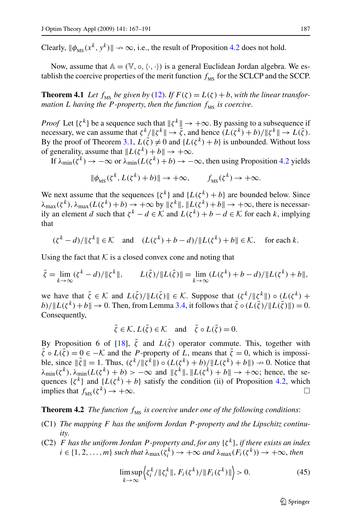<span id="page-20-0"></span>Clearly,  $\|\phi_{\text{MS}}(x^k, y^k)\| \to \infty$ , i.e., the result of Proposition [4.2](#page-19-0) does not hold.

Now, assume that  $A = (\mathbb{V}, \circ, \langle \cdot, \cdot \rangle)$  is a general Euclidean Jordan algebra. We establish the coercive properties of the merit function  $f_{\text{MS}}$  for the SCLCP and the SCCP.

**Theorem 4.1** *Let*  $f_{MS}$  *be given by* [\(12\)](#page-3-0). *If*  $F(\zeta) = L(\zeta) + b$ , *with the linear transformation L having the P -property, then the function*  $f_{\text{MS}}$  *is coercive.* 

*Proof* Let  $\{\zeta^k\}$  be a sequence such that  $\|\zeta^k\| \to +\infty$ . By passing to a subsequence if necessary, we can assume that  $\zeta^k / \|\zeta^k\| \to \bar{\zeta}$ , and hence  $(L(\zeta^k) + b) / \|\zeta^k\| \to L(\bar{\zeta})$ . By the proof of Theorem [3.1,](#page-12-0)  $L(\bar{\zeta}) \neq 0$  and  $\{L(\zeta^k) + b\}$  is unbounded. Without loss of generality, assume that  $||L(\zeta^k) + b|| \rightarrow +\infty$ .

If  $\lambda_{\min}(\zeta^k) \to -\infty$  or  $\lambda_{\min}(L(\zeta^k) + b) \to -\infty$ , then using Proposition [4.2](#page-19-0) yields

$$
\|\phi_{\text{MS}}(\zeta^k, L(\zeta^k) + b)\| \to +\infty, \qquad f_{\text{MS}}(\zeta^k) \to +\infty.
$$

We next assume that the sequences  $\{\zeta^k\}$  and  $\{L(\zeta^k) + b\}$  are bounded below. Since  $\lambda_{\max}(\zeta^k)$ ,  $\lambda_{\max}(L(\zeta^k) + b) \rightarrow +\infty$  by  $\|\zeta^k\|$ ,  $\|L(\zeta^k) + b\| \rightarrow +\infty$ , there is necessarily an element *d* such that  $\zeta^k - d \in \mathcal{K}$  and  $L(\zeta^k) + b - d \in \mathcal{K}$  for each *k*, implying that

$$
(\zeta^k - d) / \|\zeta^k\| \in \mathcal{K} \quad \text{and} \quad (L(\zeta^k) + b - d) / \|L(\zeta^k) + b\| \in \mathcal{K}, \quad \text{for each } k.
$$

Using the fact that  $K$  is a closed convex cone and noting that

$$
\bar{\zeta} = \lim_{k \to \infty} (\zeta^k - d) / \|\zeta^k\|, \qquad L(\bar{\zeta}) / \|L(\bar{\zeta})\| = \lim_{k \to \infty} (L(\zeta^k) + b - d) / \|L(\zeta^k) + b\|,
$$

we have that  $\bar{\zeta} \in \mathcal{K}$  and  $L(\bar{\zeta})/||L(\bar{\zeta})|| \in \mathcal{K}$ . Suppose that  $(\zeta^k/||\zeta^k||) \circ (L(\zeta^k) +$  $b)/\Vert L(\zeta^k) + b \Vert \to 0$ . Then, from Lemma [3.4](#page-12-0), it follows that  $\bar{\zeta} \circ (L(\bar{\zeta}) / \Vert L(\bar{\zeta}) \Vert) = 0$ . Consequently,

$$
\bar{\zeta} \in \mathcal{K}, L(\bar{\zeta}) \in \mathcal{K} \text{ and } \bar{\zeta} \circ L(\bar{\zeta}) = 0.
$$

By Proposition 6 of [\[18](#page-24-0)],  $\bar{\zeta}$  and  $L(\bar{\zeta})$  operator commute. This, together with  $\bar{\zeta} \circ L(\bar{\zeta}) = 0 \in -\mathcal{K}$  and the *P*-property of *L*, means that  $\bar{\zeta} = 0$ , which is impossible, since  $\|\bar{\zeta}\| = 1$ . Thus,  $(\zeta^k / \|\zeta^k\|) \circ (L(\zeta^k) + b) / \|L(\zeta^k) + b\|) \to 0$ . Notice that  $\lambda_{\min}(\zeta^k)$ ,  $\lambda_{\min}(L(\zeta^k) + b) > -\infty$  and  $\|\zeta^k\|$ ,  $\|L(\zeta^k) + b\| \to +\infty$ ; hence, the sequences  $\{\zeta^k\}$  and  $\{L(\zeta^k) + b\}$  satisfy the condition (ii) of Proposition [4.2,](#page-19-0) which implies that  $f_{MS}(\zeta^k) \to +\infty$ .

## **Theorem 4.2** *The function*  $f_{\text{MS}}$  *is coercive under one of the following conditions:*

- (C1) *The mapping F has the uniform Jordan P -property and the Lipschitz continuity*.
- (C2) *F has the uniform Jordan P -property and*, *for any* {*ζ <sup>k</sup>*}, *if there exists an index*  $i \in \{1, 2, ..., m\}$  *such that*  $\lambda_{\max}(\zeta_i^k) \to +\infty$  *and*  $\lambda_{\max}(F_i(\zeta^k)) \to +\infty$ *, then*

$$
\limsup_{k \to \infty} \left\langle \zeta_i^k / \|\zeta_i^k\|, F_i(\zeta^k) / \|F_i(\zeta^k)\| \right\rangle > 0. \tag{45}
$$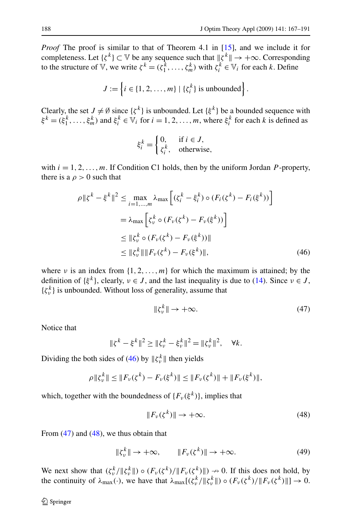<span id="page-21-0"></span>*Proof* The proof is similar to that of Theorem 4.1 in [\[15](#page-24-0)], and we include it for completeness. Let  $\{\zeta^k\} \subset \mathbb{V}$  be any sequence such that  $\|\zeta^k\| \to +\infty$ . Corresponding to the structure of V, we write  $\zeta^k = (\zeta_1^k, \dots, \zeta_m^k)$  with  $\zeta_i^k \in V_i$  for each *k*. Define

$$
J := \left\{ i \in \{1, 2, \dots, m\} \mid \{\zeta_i^k\} \text{ is unbounded} \right\}.
$$

Clearly, the set  $J \neq \emptyset$  since  $\{\zeta^k\}$  is unbounded. Let  $\{\xi^k\}$  be a bounded sequence with  $\xi^k = (\xi_1^k, \dots, \xi_m^k)$  and  $\xi_i^k \in V_i$  for  $i = 1, 2, \dots, m$ , where  $\xi_i^k$  for each *k* is defined as

$$
\xi_i^k = \begin{cases} 0, & \text{if } i \in J, \\ \zeta_i^k, & \text{otherwise,} \end{cases}
$$

with  $i = 1, 2, \ldots, m$ . If Condition C1 holds, then by the uniform Jordan *P*-property, there is a  $\rho > 0$  such that

$$
\rho \| \xi^{k} - \xi^{k} \|^{2} \leq \max_{i=1,...,m} \lambda_{\max} \left[ (\xi_{i}^{k} - \xi_{i}^{k}) \circ (F_{i}(\xi^{k}) - F_{i}(\xi^{k})) \right]
$$
  

$$
= \lambda_{\max} \left[ \xi_{\nu}^{k} \circ (F_{\nu}(\xi^{k}) - F_{\nu}(\xi^{k})) \right]
$$
  

$$
\leq \| \xi_{\nu}^{k} \circ (F_{\nu}(\xi^{k}) - F_{\nu}(\xi^{k})) \|
$$
  

$$
\leq \| \xi_{\nu}^{k} \| \| F_{\nu}(\xi^{k}) - F_{\nu}(\xi^{k}) \|,
$$
 (46)

where *ν* is an index from  $\{1, 2, ..., m\}$  for which the maximum is attained; by the definition of  $\{\xi^k\}$ , clearly,  $\nu \in J$ , and the last inequality is due to [\(14](#page-5-0)). Since  $\nu \in J$ ,  $\{\zeta_v^k\}$  is unbounded. Without loss of generality, assume that

$$
\|\zeta_v^k\| \to +\infty. \tag{47}
$$

Notice that

$$
\|\zeta^k - \xi^k\|^2 \ge \|\zeta_v^k - \xi_v^k\|^2 = \|\zeta_v^k\|^2, \quad \forall k.
$$

Dividing the both sides of (46) by  $\|\zeta_v^k\|$  then yields

$$
\rho \| \zeta_{\nu}^{k} \| \leq \| F_{\nu}(\zeta^{k}) - F_{\nu}(\xi^{k}) \| \leq \| F_{\nu}(\zeta^{k}) \| + \| F_{\nu}(\xi^{k}) \|,
$$

which, together with the boundedness of  ${F_v(\xi^k)}$ , implies that

$$
||F_{\nu}(\zeta^{k})|| \to +\infty. \tag{48}
$$

From  $(47)$  and  $(48)$ , we thus obtain that

$$
\|\zeta_v^k\| \to +\infty, \qquad \|F_v(\zeta^k)\| \to +\infty. \tag{49}
$$

We next show that  $(\zeta_v^k/||\zeta_v^k||) \circ (F_v(\zeta^k)/||F_v(\zeta^k)||) \to 0$ . If this does not hold, by the continuity of  $\lambda_{\max}(\cdot)$ , we have that  $\lambda_{\max}[(\zeta_v^k/||\zeta_v^k||) \circ (F_v(\zeta^k)/||F_v(\zeta^k)||] \to 0$ .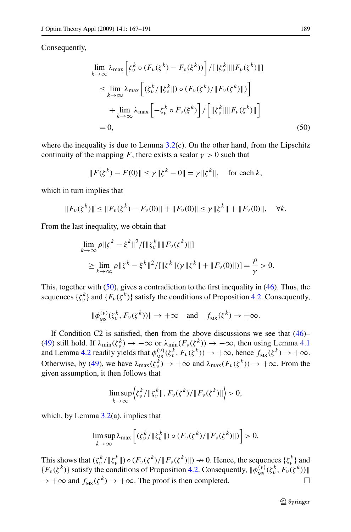Consequently,

$$
\lim_{k \to \infty} \lambda_{\max} \left[ \zeta_{\nu}^{k} \circ (F_{\nu}(\zeta^{k}) - F_{\nu}(\xi^{k})) \right] / [\|\zeta_{\nu}^{k}\| \| F_{\nu}(\zeta^{k}) \|]
$$
\n
$$
\leq \lim_{k \to \infty} \lambda_{\max} \left[ (\zeta_{\nu}^{k} / \| \zeta_{\nu}^{k} \|) \circ (F_{\nu}(\zeta^{k}) / \| F_{\nu}(\zeta^{k}) \|) \right]
$$
\n
$$
+ \lim_{k \to \infty} \lambda_{\max} \left[ -\zeta_{\nu}^{k} \circ F_{\nu}(\xi^{k}) \right] / \left[ \|\zeta_{\nu}^{k}\| \| F_{\nu}(\zeta^{k}) \| \right]
$$
\n= 0, (50)

where the inequality is due to Lemma  $3.2(c)$  $3.2(c)$ . On the other hand, from the Lipschitz continuity of the mapping *F*, there exists a scalar  $\gamma > 0$  such that

$$
||F(\zeta^k) - F(0)|| \le \gamma ||\zeta^k - 0|| = \gamma ||\zeta^k||
$$
, for each k,

which in turn implies that

$$
||F_{\nu}(\zeta^{k})|| \leq ||F_{\nu}(\zeta^{k}) - F_{\nu}(0)|| + ||F_{\nu}(0)|| \leq \gamma ||\zeta^{k}|| + ||F_{\nu}(0)||, \quad \forall k.
$$

From the last inequality, we obtain that

$$
\lim_{k \to \infty} \rho \| \zeta^{k} - \xi^{k} \|^2 / [ \| \zeta_{\nu}^{k} \| \| F_{\nu}(\zeta^{k}) \| ]
$$
\n
$$
\geq \lim_{k \to \infty} \rho \| \zeta^{k} - \xi^{k} \|^2 / [ \| \zeta^{k} \| (\gamma \| \zeta^{k} \| + \| F_{\nu}(0) \| ) ] = \frac{\rho}{\gamma} > 0.
$$

This, together with  $(50)$ , gives a contradiction to the first inequality in  $(46)$  $(46)$  $(46)$ . Thus, the sequences  $\{\zeta_v^k\}$  and  $\{F_v(\zeta^k)\}$  satisfy the conditions of Proposition [4.2](#page-19-0). Consequently,

$$
\|\phi_{\text{MS}}^{(\nu)}(\zeta_{\nu}^k, F_{\nu}(\zeta^k))\| \to +\infty \quad \text{and} \quad f_{\text{MS}}(\zeta^k) \to +\infty.
$$

If Condition C2 is satisfied, then from the above discussions we see that  $(46)$  $(46)$ – [\(49](#page-21-0)) still hold. If  $\lambda_{\min}(\zeta_v^k) \to -\infty$  or  $\lambda_{\min}(F_v(\zeta_v^k)) \to -\infty$ , then using Lemma [4.1](#page-15-0) and Lemma [4.2](#page-17-0) readily yields that  $\phi_{\text{MS}}^{(\nu)}(\zeta_{\nu}^k, F_{\nu}(\zeta^k)) \to +\infty$ , hence  $f_{\text{MS}}(\zeta^k) \to +\infty$ . Otherwise, by [\(49](#page-21-0)), we have  $\lambda_{\text{max}}(\zeta_v^k) \to +\infty$  and  $\lambda_{\text{max}}(F_v(\zeta^k)) \to +\infty$ . From the given assumption, it then follows that

$$
\limsup_{k\to\infty}\Big\langle \zeta_{\nu}^k/\|\zeta_{\nu}^k\|, F_{\nu}(\zeta^k)/\|F_{\nu}(\zeta^k)\|\Big\rangle > 0,
$$

which, by Lemma  $3.2(a)$  $3.2(a)$ , implies that

$$
\limsup_{k\to\infty}\lambda_{\max}\left[\left(\zeta_{\nu}^k/\|\zeta_{\nu}^k\|\right)\circ\left(F_{\nu}(\zeta^k)/\|F_{\nu}(\zeta^k)\|\right)\right]>0.
$$

This shows that  $(\zeta_v^k/||\zeta_v^k||) \circ (F_v(\zeta^k)/||F_v(\zeta^k)||) \to 0$ . Hence, the sequences  $\{\zeta_v^k\}$  and  ${F_v(\zeta^k)}$  satisfy the conditions of Proposition [4.2](#page-19-0). Consequently,  $\|\phi_{MS}^{(\nu)}(\zeta_v^k, F_v(\zeta^k))\|$  $\rightarrow +\infty$  and  $f_{MS}(\zeta^k) \rightarrow +\infty$ . The proof is then completed.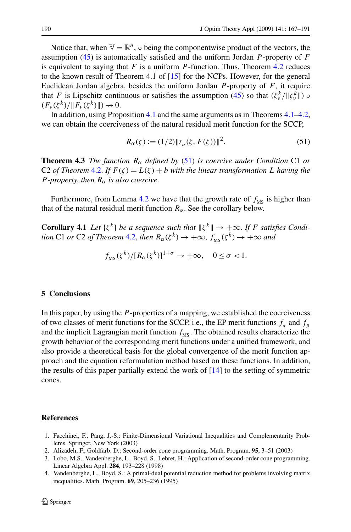<span id="page-23-0"></span>Notice that, when  $\mathbb{V} = \mathbb{R}^n$ ,  $\circ$  being the componentwise product of the vectors, the assumption ([45\)](#page-20-0) is automatically satisfied and the uniform Jordan *P* -property of *F* is equivalent to saying that *F* is a uniform *P* -function. Thus, Theorem [4.2](#page-20-0) reduces to the known result of Theorem 4.1 of [\[15](#page-24-0)] for the NCPs. However, for the general Euclidean Jordan algebra, besides the uniform Jordan *P* -property of *F*, it require that *F* is Lipschitz continuous or satisfies the assumption [\(45](#page-20-0)) so that  $(\zeta_v^k/||\zeta_v^k||)$  $(F_v(\zeta^k)/\|F_v(\zeta^k)\|) \to 0.$ 

In addition, using Proposition [4.1](#page-16-0) and the same arguments as in Theorems [4.1–4.2](#page-20-0), we can obtain the coerciveness of the natural residual merit function for the SCCP,

$$
R_{\alpha}(\zeta) := (1/2) \|r_{\alpha}(\zeta, F(\zeta))\|^2.
$$
 (51)

**Theorem 4.3** *The function*  $R_{\alpha}$  *defined by* (51) *is coercive under Condition* C1 *or* C2 *of Theorem* [4.2.](#page-20-0) *If*  $F(\zeta) = L(\zeta) + b$  *with the linear transformation L having the P -property*, *then*  $R_{\alpha}$  *is also coercive.* 

Furthermore, from Lemma [4.2](#page-20-0) we have that the growth rate of  $f_{\text{MS}}$  is higher than that of the natural residual merit function  $R_{\alpha}$ . See the corollary below.

**Corollary 4.1** *Let*  $\{\zeta^k\}$  *be a sequence such that*  $\|\zeta^k\| \to +\infty$ . *If F satisfies Condition* C1 *or* C2 *of Theorem* [4.2,](#page-20-0) *then*  $R_{\alpha}(\zeta^{k}) \rightarrow +\infty$ ,  $f_{MS}(\zeta^{k}) \rightarrow +\infty$  and

$$
f_{\text{MS}}(\zeta^k)/[R_\alpha(\zeta^k)]^{1+\sigma} \to +\infty, \quad 0 \le \sigma < 1.
$$

## **5 Conclusions**

In this paper, by using the *P* -properties of a mapping, we established the coerciveness of two classes of merit functions for the SCCP, i.e., the EP merit functions  $f_a$  and  $f_b$ and the implicit Lagrangian merit function  $f_{\text{MS}}$ . The obtained results characterize the growth behavior of the corresponding merit functions under a unified framework, and also provide a theoretical basis for the global convergence of the merit function approach and the equation reformulation method based on these functions. In addition, the results of this paper partially extend the work of [\[14](#page-24-0)] to the setting of symmetric cones.

## **References**

- 1. Facchinei, F., Pang, J.-S.: Finite-Dimensional Variational Inequalities and Complementarity Problems. Springer, New York (2003)
- 2. Alizadeh, F., Goldfarb, D.: Second-order cone programming. Math. Program. **95**, 3–51 (2003)
- 3. Lobo, M.S., Vandenberghe, L., Boyd, S., Lebret, H.: Application of second-order cone programming. Linear Algebra Appl. **284**, 193–228 (1998)
- 4. Vandenberghe, L., Boyd, S.: A primal-dual potential reduction method for problems involving matrix inequalities. Math. Program. **69**, 205–236 (1995)